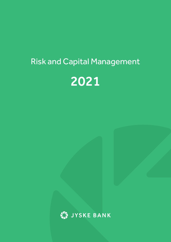# Risk and Capital Management



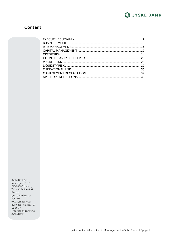

### **Content**

Jyske Bank A/S Vestergade 8-16 DK-8600 Silkeborg Tel: +45 89 89 89 89 E-mail: jyskebank@jyskebank.dk www.jyskebank.dk Business Reg. No.: 17 616617 Prepress and printing: Jyske Bank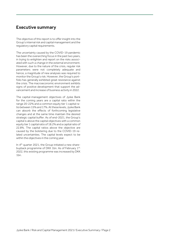### <span id="page-2-0"></span>Executive summary

The objective of this report is to offer insight into the Group's internal risk and capital management and the regulatory capital requirements.

The uncertainty caused by the COVID-19 pandemic has been the overarching focus in the past two years, in trying to enlighten and report on the risks associated with such a change in the external environment. However, due to the nature of the crisis, regular risk parameters were not completely adequate and hence, a magnitude of new analyses was required to monitor the Group's risk. However, the Group's portfolio has generally exhibited great resistance against the crisis. The macroeconomic environment exhibits signs of positive development that support the advancement and increase of business activity in 2022.

The capital-management objectives of Jyske Bank for the coming years are a capital ratio within the range 20-22% and a common equity tier 1 capital ratio between 15% and 17%. At these levels, Jyske Bank can absorb the effects of forthcoming legislative changes and at the same time maintain the desired strategic capital buffer. As of end-2021, the Group's capital is above the capital objectives with a common equity tier 1 capital ratio of 18.2% and a capital ratio of 22.8%. The capital ratios above the objective are caused by the bolstering due to the COVID-19 related uncertainties. The capital levels expect to be within the objectives in the coming year.

In 4<sup>th</sup> quarter 2021, the Group initiated a new sharebuyback programme of DKK 1bn. As of February 1st, 2022, this existing programme was increased by DKK 1bn.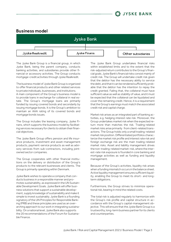

### <span id="page-3-0"></span>Business model



The Jyske Bank Group is a financial group, in which Jyske Bank, being the parent company, conducts banking activities, and subsidiaries provide other financial or accessory activities. The Group conducts mortgage-credit activities through Jyske Realkredit.

The business model of Jyske Bank Group is organized to offer financial products and other related services to private individuals, businesses, and institutions. A main component of the Group's business model is

to provide loans in exchange for collateral in real estate. The Group's mortgage loans are primarily funded by issuing covered bonds and secondarily by issuing mortgage bonds. It is the Group's ambition to maintain an AAA rating of its covered bonds and mortgage bonds issues.

The Group includes the leasing company, Jyske Finans, which supports the business model by facilitating services necessary for clients to obtain their financial objectives.

The Jyske Bank Group offers pension and life insurance products, investment and asset-management products, payment-service products as well as advisory services from sub-contractors, including jointowned sector companies.

The Group cooperates with other financial institutions on the delivery or distribution of the Group's products to the relevant businesses and clients. The Group is primarily operating within Denmark.

Jyske Bank wishes to operate a company that conducts business in a responsible manner and promotes sustainability, as expressed in the UN Sustainable Development Goals. Jyske Bank will offer business solutions that support a sustainable development, supply knowledge of sustainability and make it simple to invest sustainably. Jyske Bank is a founding signatory of the UN Principles for Responsible Banking (PRB) and these principles are used as an overarching approach to our work in integrating sustainability. On a national level, Jyske Bank also supports the 20 recommendations of the Forum for Sustainable Finance.

The Jyske Bank Group undertakes financial risks within established limits and to the extent that the risk-adjusted return contributes to the Group's financial goals. Jyske Bank's financial risks consist mainly of credit risk. The Group will undertake credit risk given that the debtor has the necessary ability to service the debt, and that it can be rendered sufficiently probable that the debtor has the intention to repay the credit granted. Failing that, the collateral must have sufficient value as well as stability of value, and it must be expected that the collateral can be liquidated and cover the remaining credit. Hence, it is a requirement that the Group's earnings must match the associated credit risk and capital charge.

Market risk arises as an integrated part of banking activities, e.g. hedging interest rate risk. Moreover, the Group undertakes market risk when the expected return more than matches the risk. Trading-related market risks arise primarily from client-related transactions. The Group holds only a small trading-related market risk position. Differentiated portfolios characterize the market risk profile and interest rate risk and foreign exchange risk are the main trading-related market risks. Asset and liability management drives the non-trading-related market-risk, where the interest-rate risk exposure is founded in core banking and mortgage activities as well as funding and liquidity management.

Because of the Group's activities, liquidity risk arises when a funding mismatch occurs in the balance sheet. Active liquidity management ensures sufficient liquidity, enabling the Group to meet its short- and longterm obligations.

Furthermore, the Group strives to minimize operational risk, bearing in mind the related costs.

The total risk is adjusted regularly to harmonize with the Group's risk profile and capital structure in accordance with the Group's capital-management objective. This will ensure that the Jyske Bank Group is a trustworthy, long-term business partner for its clients and counterparties.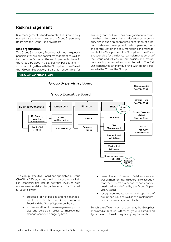### <span id="page-4-0"></span>Risk management

Risk management is fundamental in the Group's daily operations and is anchored at the Group Supervisory Board and the Group Executive Board.

#### **Risk organisation**

The Group Supervisory Board establishes the general principles for risk and capital management as well as for the Group's risk profile and implements these in the Group by adopting several risk policies and instructions. Together with the Group Executive Board, the Group Supervisory Board is responsible for

ensuring that the Group has an organisational structure that will ensure a distinct allocation of responsibility and include an appropriate separation of functions between development units, operating units and control units in the daily monitoring and management of the Group's risks. The Group Executive Board is responsible for the day-to-day risk management of the Group and will ensure that policies and instructions are implemented and complied with. The Risk unit constitutes an individual unit with direct reference to the CEO of the Group.

### **RISK ORGANISATION**



The Group Executive Board has appointed a Group Chief Risk Officer, who is the director of the unit Risk. His responsibilities include activities involving risks across areas of risk and organisational units. The unit is responsible for:

- proposals of risk policies and risk-management principles to the Group Executive Board and the Group Supervisory Board.
- implementation of risk-management principles and policies in order to improve risk management on an ongoing basis.
- quantification of the Group's risk exposure as well as monitoring and reporting to ascertain that the Group's risk exposure does not exceed the limits defined by the Group Supervisory Board.
- recognition, measurement and reporting of risk in the Group as well as the implementation of risk-management tools.

To achieve efficient risk management, the Group has appointed a Chief Risk Officer at Jyske Realkredit and Jyske Invest in line with regulatory requirements.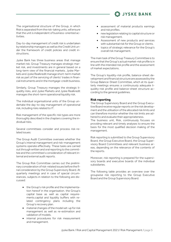The organisational structure of the Group, in which Risk is separated from the risk-taking units, will ensure that the unit is independent of business-oriented activities.

Day-to-day management of credit risk is undertaken by relationship managers as well as the Credit Unit under the framework of credit policies and credit instructions.

Jyske Bank has three business areas that manage market risk. Group Treasury manages strategic market risk, and investments are in general based on a long-term view of the financial markets. Jyske Markets and Jyske Realkredit manage short-term market risk as part of the servicing of clients' trades in financial instruments and in the mortgage-credit business.

Similarly, Group Treasury manages the strategic liquidity risks, and Jyske Markets and Jyske Realkredit manages the short-term operational liquidity risk.

The individual organisational units of the Group undertake the day-to-day management of operational risk, including risks related to IT.

Risk management of the specific risk types are more thoroughly described in the chapters covering the individual risks.

Several committees consider and process risk-related issues:

The Group Audit Committee oversees whether the Group's internal management and risk-management systems operate effectively. These tasks are carried out through written and oral reporting to the committee and the committee's consideration of relevant internal and external audit reports.

The Group Risk Committee carries out the preliminary consideration of risk-related issues before the final consideration by the Group Supervisory Board. At quarterly meetings and in case of special circumstances, subjects in relation to the following are discussed:

- the Group's risk profile and the implementation hereof in the organisation. the Group's capital base as well as capital requirements.capital and liquidity buffers with related contingency plans including the Group's recovery plan.
- material changes of the model set-up for risk management as well as re-estimation and validation of models.
- internal procedures for risk measurement and management.

• assessment of material products earnings and risk profiles.

**LA JYSKE BANK** 

- new legislation relating to capital structure or risk management.
- Assessment of new products and services with substantial risk for the Group or clients.
- topics of strategic relevance for the Group's overall risk management.

The main task of the Group Treasury Committee is to ensure that the Group's actual market-risk profile is in line with the intended risk profile and the assessment of market expectations.

The Group's liquidity-risk profile, balance-sheet development and financial structure are assessed by the Group Balance-Sheet Committee, which at its quarterly meetings ensures a continuously adequate liquidity-risk profile and balance-sheet structure according to the general guidelines.

#### **Risk reporting**

The Group Supervisory Board and the Group Executive Board receive regular reports on the risk development and the utilisation of the allocated risk limits and can therefore monitor whether the risk limits are adhered to and evaluate their appropriateness.

The business unit, Risk, continuously focuses on providing relevant and timely analyses to ensure the basis for the most qualified decision making of the management.

Risk reporting is submitted to the Group Supervisory Board, the Group Executive Board, the Group Supervisory Board Committees and relevant business areas, depending on the relevance of the contents of the reports.

Moreover, risk reporting is prepared for the supervisory boards and executive boards of the individual subsidiaries.

The following table provides an overview over the groupwise risk reporting to the Group Executive Board and the Group Supervisory Board.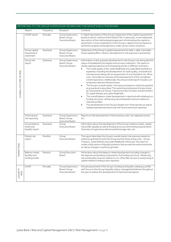|                                |                                                    |           |                                                       | REPORTING TO THE GROUP SUPERVISORY BOARD AND THE GROUP EXECUTIVE BOARD                                                                                                                                                                                                                                                                                                                                                                                                                                                                                                                                                                                                                                                                                                                                                                                                                                                                                                                                                                                                                                                                                                                                                                                                                              |
|--------------------------------|----------------------------------------------------|-----------|-------------------------------------------------------|-----------------------------------------------------------------------------------------------------------------------------------------------------------------------------------------------------------------------------------------------------------------------------------------------------------------------------------------------------------------------------------------------------------------------------------------------------------------------------------------------------------------------------------------------------------------------------------------------------------------------------------------------------------------------------------------------------------------------------------------------------------------------------------------------------------------------------------------------------------------------------------------------------------------------------------------------------------------------------------------------------------------------------------------------------------------------------------------------------------------------------------------------------------------------------------------------------------------------------------------------------------------------------------------------------|
|                                | Report                                             | Frequency | Recipient                                             | Contents                                                                                                                                                                                                                                                                                                                                                                                                                                                                                                                                                                                                                                                                                                                                                                                                                                                                                                                                                                                                                                                                                                                                                                                                                                                                                            |
|                                | ICAAP report                                       | Annually  | Group Supervisory<br>Board, Group<br>Executive Board, | In-depth description of the Group's statement of the capital requirements<br>based on the 8+ method of the Danish FSA. In particular, a more elaborate<br>description of the methodological approach of estimating the capital re-<br>quirements. Future implications of the Group's capital structure based on<br>sensitivity analyses and projections under various stress scenarios.                                                                                                                                                                                                                                                                                                                                                                                                                                                                                                                                                                                                                                                                                                                                                                                                                                                                                                             |
|                                | Group capital<br>requirement<br>statement          | Quarterly | Group Supervisory<br>Board, Group<br>Executive Board, | Statement of the Group's capital requirement for pillar 1, pillar 2 and addi-<br>tional capital buffers. Hereto, development in risk exposure is presented.                                                                                                                                                                                                                                                                                                                                                                                                                                                                                                                                                                                                                                                                                                                                                                                                                                                                                                                                                                                                                                                                                                                                         |
| <b>OVERALL PICTURE OF RISK</b> | Group risk<br>report                               | Quarterly | Group Supervisory<br>Board, Group<br>Executive Board, | Information on the quarterly development in the Group's risk along with the<br>status of established risk targets and recovery indicators. The report in-<br>cludes capital projections encompassing all risks in different scenarios.<br>The credit quality of the Jyske Realkredit and Jyske Bank portfolios is<br>$\bullet$<br>explained, including the development of credit quality, overdraft and<br>risk exposures along with an assessment of concentration risk. More-<br>over, it provides an overview of the development of the completed<br>credit inspections. Additionally, the annual credit report includes con-<br>temporary relevant themes/issues<br>The Group's overall market-risk exposure based on authority granted<br>$\bullet$<br>at group level is described. The reporting emphasizes the key strate-<br>gic risk positions at Group Treasury but also includes overall numbers<br>for Jyske Markets and Jyske Realkredit.<br>The overall balance-sheet development is reported with emphasis on<br>$\bullet$<br>funding structure, refinancing risk and liquidity reserves relative to<br>maturity profiles.<br>The development in the Group's largest non-financial risks as well as<br>$\bullet$<br>realised operational losses over the recent period are reported. |
|                                | Financial and<br>risk reporting                    | Quarterly | Group Supervisory<br>Board, Group<br>Executive Board  | Reports on the development of the business units' risk-adjusted results,<br>etc.                                                                                                                                                                                                                                                                                                                                                                                                                                                                                                                                                                                                                                                                                                                                                                                                                                                                                                                                                                                                                                                                                                                                                                                                                    |
|                                | Group balance<br>sheet and<br>liquidity report     | Quarterly | Group<br>Executive Board                              | Information about the development of the Group's balance sheet, capital,<br>risk profile, liquidity as well as funding structure and funding requirements.<br>Overview of supervisory diamond and leverage ratio, etc.                                                                                                                                                                                                                                                                                                                                                                                                                                                                                                                                                                                                                                                                                                                                                                                                                                                                                                                                                                                                                                                                              |
| RKET RISK<br>⋚                 | Market risk<br>report                              | Monthly   | Group<br>Executive Board                              | The report describes the Group's overall market risk exposure based on<br>authority granted for both the Group and the three acting units - Group<br>Treasury, Jyske Markets and Jyske Realkredit. Moreover, the report in-<br>cludes a description of liquidity positions that exceed the authorised limits<br>as well as changes in authority granted.                                                                                                                                                                                                                                                                                                                                                                                                                                                                                                                                                                                                                                                                                                                                                                                                                                                                                                                                            |
|                                | Balance-sheet,<br>liquidity and<br>funding profile | Monthly   | Group Executive<br>Board                              | Information about the balance-sheet development including changes in<br>the deposits and lending components; the funding structure, refinancing<br>risk and liquidity reserves relative to run-off profile. Access to and pricing of<br>capital markets funding is also reported.                                                                                                                                                                                                                                                                                                                                                                                                                                                                                                                                                                                                                                                                                                                                                                                                                                                                                                                                                                                                                   |
| LIQUIDITY<br>RISK              | <b>ILAAP</b>                                       | Annually  | Group Supervisory<br>Board, Group<br>Executive Board  | Annual assessment of the Group's funding and liquidity-adequacy profile<br>with focus on the Group's liquidity status, managerial initiatives throughout<br>the year as well as the development of important key figures.                                                                                                                                                                                                                                                                                                                                                                                                                                                                                                                                                                                                                                                                                                                                                                                                                                                                                                                                                                                                                                                                           |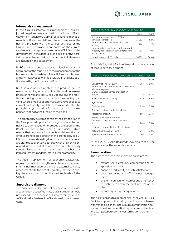#### **Internal risk management**

In the Group's internal risk management, risk-adjusted target returns are used in the form of RoRC (Return on Regulatory Capital) as a general management tool. RoRC calculations offer an overview of the risk and profitability of the various activities of the Group. RoRC calculations are based on the current valid regulatory capital requirements (CRR2), and the development in the general credit quality of the portfolio, concentration risk and other capital elements are included in the assessment.

RoRC at division and business-unit level forms an integral part of the reporting to the management of the business units, who determine activities for follow-up and any initiatives to manage risk within the risk appetite stated by the Supervisory Board.

RoRC is also applied at client and product level to measure results, assess profitability, and determine prices of new loans. RoRC calculations and the facilities for pricing are made available in profitability systems where employees and managers have access to current profitability calculations at various levels. The profitability systems allow for expenses, including expenses relating to the funding of the loans.

The profitability systems consider the composition of the Group's credit portfolio through a concentration risk calculation based on methods developed by the Basel Committee for Banking Supervision, which means that concentration effects and diversification effects are reflected directly in the profitability calculations of new and existing loans. If loans, for instance, are granted to clients in sectors, which are highly correlated with the market or where the portfolio already contains large exposures, this will result in higher capital requirements and therefore lower profitability.

The recent replacement of economic capital with regulatory capital strengthens coherence between internal risk management and the external solvency assessment with the aim of ultimately improving pricing decisions throughout the various levels of the Group.

#### **Supervisory diamond**

The supervisory diamond defines several special risk areas including specified limits that institutions should not exceed. The supervisory diamond for Jyske Bank A/S and Jyske Realkredit A/S is shown in the following table.

| THE SUPERVISORY DIAMOND FOR JYSKE BANK A/S                                                             |      |       |  |  |
|--------------------------------------------------------------------------------------------------------|------|-------|--|--|
|                                                                                                        | 2021 | 2020  |  |  |
| Sum of large exposures < 175% of the<br>adjusted capital base                                          | 110% | 82%   |  |  |
| Increase in loans and advances < 20%<br>annually                                                       | 8%   | $-7%$ |  |  |
| Exposures to property administration and<br>property transactions < 25% of total loans<br>and advances | 9%   | 10%   |  |  |
| Liquidity surplus (LCR basis)                                                                          | 188% | 169%  |  |  |

At end-2021, Jyske Bank A/S met all the benchmarks of the supervisory diamond.

| THE SUPERVISORY DIAMOND FOR JYSKE REALKREDIT A/S                                                                                     |         |        |  |
|--------------------------------------------------------------------------------------------------------------------------------------|---------|--------|--|
|                                                                                                                                      | 2021    | 2020   |  |
| Concentration risk < 100%<br>Increase in loans and advances < 15% annu-<br>ally in the segment:<br>Owner-occupied homes and vacation | 46.8%   | 51.0%  |  |
| homes                                                                                                                                | -1 2%   | $-21%$ |  |
| Residential rental property                                                                                                          | 8.3%    | 5.9%   |  |
| Agriculture                                                                                                                          |         |        |  |
| Other sectors                                                                                                                        | $-0.5%$ | 6.6%   |  |
| Borrower's interest-rate risk < 25%                                                                                                  |         |        |  |
| Residential property                                                                                                                 | 14.9%   | 16.5%  |  |
| Interest-only schemes < 10%<br>Owner-occupied homes and vacation<br>homes                                                            | 5.6%    | 6.0%   |  |
| Loans with frequent interest-rate fixing:                                                                                            |         |        |  |
| Refinancing (annually) < 25%                                                                                                         | 15.1%   | 16.2%  |  |
| Refinancing (quarterly) < $12.5\%$                                                                                                   | 1.0%    | 1.4%   |  |

At end-2021, Jyske Realkredit A/S also met all the benchmarks of the supervisory diamond.

#### **Remuneration**

The purposes of the remuneration policy are to:

- reward value-creating, competent and responsible conduct
- support productivity and job satisfaction
- promote sound and efficient risk management
- prevent conflicts of interest and strengthen the liability to act in the best interest of the clients
- ensure equal pay for equal work.

The policy applies to all companies in the Group. Jyske Bank has opted out of using direct bonus schemes with variable salaries. The Group's remuneration policy and latest remuneration reports are available at investor.jyskebank.com/investorrelations/governance.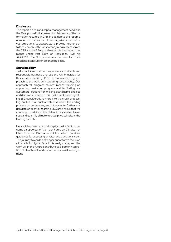#### **Disclosure**

The report on risk and capital management serves as the Group's main document for disclosure of the information required in CRR. In addition to the report a number of tables on [investor.jyskebank.com/in](https://investor.jyskebank.com/investorrelations/capitalstructure)[vestorrelations/capitalstructure](https://investor.jyskebank.com/investorrelations/capitalstructure) provide further details to comply with transparency requirements from the CRR and the EBA guidelines on disclosure requirements under Part Eight of Regulation (EU) No 575/2013. The Group assesses the need for more frequent disclosure on an ongoing basis.

#### **Sustainability**

Jyske Bank Group strive to operate a sustainable and responsible business and use the UN Principles for Responsible Banking (PRB) as an overarching approach to the work on integrating sustainability. Our approach "all progress counts" means focusing on supporting customer progress and facilitating our customers' options for making sustainable choices and decisions. Based on this, Jyske Bank are integrating ESG considerations more into the credit process. E.g., are ESG risks qualitatively assessed in the lending process on corporates, and initiatives to further enrich data on clients regarding ESG are a focus that will continue. In addition, the Risk unit has started to assess and quantify climate-related physical risks in the lending portfolio.

Hence, it has been a natural step for Jyske Bank to become a supporter of the Task Force on Climate-related Financial Disclosure (TCFD) which provides guidelines for assessing physical and transitions risks. The journey towards a stronger quantitative focus on climate is for Jyske Bank in its early stage, and the work will in the future contribute to a better integration of climate risk and opportunities in risk management.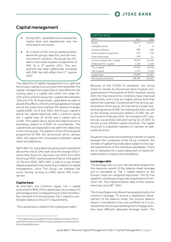### <span id="page-9-0"></span>Capital management

- During 2021, Jyske Bank has increased the capital base and experienced very low write downs and losses.
- As a result of the strong capital position, above the groups objective, and the macroeconomic situation, the group has initiated a new share buyback programme of DKK 1b in 4<sup>th</sup> quarter 2021. This programme has been additionally increased with DKK 1bn with effect from 1<sup>st</sup> quarter 2022.

The objective of capital management is to optimise the Group's capital structure given the risk profile.The capital-management objectives of Jyske Bank for the coming years is a capital ratio within the range 20- 22% and a common equity tier 1 capital ratio between 15% and 17%. At these levels, Jyske Bank are able to absorb the effects of forthcoming legislative changes and at the same time maintain the desired strategic capital buffer. As of end-2021, the Group's capital is above the capital objectives with a common equity tier 1 capital ratio of 18.2% and a capital ratio of 22.8%. The capital ratio is above the objective due to bolstering related to COVID-19 uncertainties. The capital levels are expected to be within the objectives in the coming year. The addition of the of the buyback programme of DKK 1bn announced ultimo January 2022, will support the convergence between capital ratios and objectives.

S&P's RAC for Jyske Bank Group has been substantial above the critical 10% mark since the change of Economic Risk Score for Denmark mid-2019. End-2021 the Group's RAC reached a level of above 13%against 12.7% end-2020. S&P's RAC is only to a very limited degree expected to be restricting in relation to capital management, since The Group can maintain the score "strong" as long as a RAC above 10% is preserved.

#### **Capital base**

At end-2021, the Common Equity Tier 1 capital amounted to 80% of the capital base, an increase of 2 percentage points compared to end-2020. Nonetheless, the level of Common Equity Tier 1 capital is comfortable relative to the CET1 requirements.

The capital base is stated in the subsequent table $^1$ .

| <b>CAPITAL BASE</b>          |         |         |
|------------------------------|---------|---------|
| DKKm                         | 2021    | 2020    |
| Equity                       | 34,911  | 33,325  |
| Intangible assets            | Ω       | Ω       |
| Cautious valuation           | $-285$  | -360    |
| Share-buyback programme      | $-272$  | $-750$  |
| Other deductions             | $-102$  | $-21$   |
| Common Equity Tier 1 capital | 34,252  | 32,194  |
| Additional Tier 1 capital    | 3,329   | 3.539   |
| Tier 1 capital               | 37,581  | 35,733  |
| Tier 2 capital               | 5,275   | 5,334   |
| Capital base                 | 42,856  | 41,067  |
| Risk Exposure Amount         | 188,181 | 179,426 |

Because of the COVID-19 pandemic, the Group chose to revoke its announced share-buyback programme back in first quarter of 2020. However, during 2021 the macroeconomic conditions have improved significantly, and is now at a higher activity level than before the outbreak. Combined with the strong capital position of the group, this has led to a share-buyback programme of DKK 1bn starting Q4 2021, as well as the recently announced addition of DKK 1bn, effective primo February 2022. An increase of AT1 capital was successfully executed during Q1 of 2021 to ensure a cost-efficient capital structure. The capital structure is evaluated regularly to maintain an adequate structure.

Situations may arise necessitating a transfer of capital between the companies of the Group. However, the transfer of capital must take place subject to the capital requirements of the individual subsidiaries. There are no obstacles for a quick repayment of claims between parent company and subsidiaries.

#### **Leverage ratio**

The leverage ratio is a non-risk sensitive measure for the maximum extent of the balance-sheet leverage and is calculated as Tier 1 capital relative to the Group's total non-weighted exposures. The EU has opted for a binding leverage ratio requirement of minimum 3%. The implementation date of this requirement was June 28<sup>th</sup>, 2021.

The Group Supervisory Board has adopted a policy for maximum leverage. To ensure a satisfactory development of the balance sheet, the Group's balance sheet is considered in two sub-portfolios as it is assessed that the Group's banking and mortgage activities have different adequate leverage levels. The

<sup>&</sup>lt;sup>1</sup> The capital base is specified in further detail according to the requirements as per the CRR at investor.jyskebank.com/investorrelations/capitalstructure.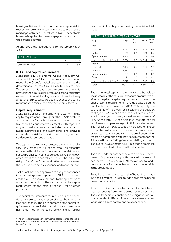banking activities of the Group involve a higher risk in respect to liquidity and capital relative to the Group's mortgage activities. Therefore, a higher acceptable leverage is applied to the mortgage activities than to the banking activities.

At end-2021, the leverage ratio for the Group was at  $5.4\%$ <sup>2</sup>.

| LEVERAGE RATIO!  |      |      |
|------------------|------|------|
| $\%$             | 2021 | วกวค |
| Jyske Bank Group |      |      |

#### **ICAAP and capital requirement**

Jyske Bank's ICAAP (Internal Capital Adequacy Assessment Process) forms the basis of the assessment of the Group's capital structure and hence the determination of the Group's capital requirement. The assessment is based on the current relationship between the Group's risk profile and capital structure as well as forward-looking considerations that may affect this. Stress tests are used to expose the bank's robustness to micro- and macroeconomic factors.

#### **Capital requirement**

Jyske Bank applies an 8+ setup when determining the capital requirement. Throughout the ICAAP, analyses are carried out for each risk type, addressing qualitative as well as quantitative elements with regard to ongoing quality assurance, including evaluation of model assumptions and monitoring. The analyses cover relevant risk factors within each risk type in accordance with current legislation.

The capital requirement expresses the pillar 1 regulatory requirement of 8% of the total risk exposure amount with additions for above normal risk represented by pillar 2. Thus, it expresses Jyske Bank's own assessment of the capital requirement based on the risk profile of the Group and reflections concerning the Group's own data, experience and management.

Jyske Bank has been approved to apply the advanced internal rating-based approach (AIRB) to measure credit risk. The approval extends to the application of advanced methods for the calculation of the capital requirement for the majority of the Group's credit portfolio.

The capital requirements for market risk and operational risk are calculated according to the standardised approaches. The development of the capital requirements for credit risk, market risk and operational risk is outlined in the table below and is further

 $2$  The leverage ratio is specified in further detail according to the requirements as per the CRR at investor.jyskebank.com/investorrelations/capitalstructure.

described in the chapters covering the individual risk types.

| CAPITAL REQUIREMENTS BY RISK TYPE |        |                    |        |                    |  |
|-----------------------------------|--------|--------------------|--------|--------------------|--|
| <b>DKKm</b>                       | 2021   | % of<br><b>REA</b> | 2020   | % of<br><b>REA</b> |  |
| Pillar 1                          |        |                    |        |                    |  |
| Credit risk                       | 13,052 | 6.9                | 12,356 | 6.9                |  |
| Market risk                       | 858    | 0.5                | 824    | 0.5                |  |
| Operational risk                  | 1,144  | 0.6                | 1,174  | 0.6                |  |
| Capital requirement, Pillar 1     | 15,054 | 8.0                | 14,354 | 8.0                |  |
| Pillar <sub>2</sub>               |        |                    |        |                    |  |
| Credit risk                       | 4,122  | 2.2                | 4,910  | 2.7                |  |
| Market risk                       | 1,681  | 0.9                | 1.140  | 0.6                |  |
| Operational risk                  | 249    | 0.1                | 414    | 0.2                |  |
| Other                             | 21     | 0.0                | 73     | 0.1                |  |
| Capital requirement, Pillar 2     | 6,072  | 3.2                | 6,537  | 3.6                |  |
| Total                             | 21,127 | 11.2               | 20,891 | 11.6               |  |

The higher total capital requirement is attributable to the increase of the total risk exposure amount, which affects the pillar 1 capital requirements. However, the pillar 2 capital requirements have decreased both in nominal terms and relative to REA. This is partly due to a change of methods for calculating the addition relating to CVA risk and a reduction of exposures related to a large customer, as well as an increase of REA. As the total REA has increased, the total capital requirement in percentage of REA has decreased. The increase of REA is caused by increased lending to corporate customers and a more conservative approach to credit risk due to mitigation of uncertainty regarding compliance with new requirements for the Advanced Internal Rating-Based modelling approach. The overall development in REA related to credit risk is further described in the Credit Risk chapter.

The pillar 2 add-ons associated with credit risk is composed of a precautionary buffer related to weak and non-performing exposures. Moreover, capital additions are made for concentration risk and uncertainty in the credit models.

To address the credit spread risk of bonds in the trading book a market-risk capital addition is made based on a stress scenario.

A capital addition is made to account for the interest rate risk arising from non-trading-related activities. The capital addition constitutes the biggest loss calculated under 9 different interest rate stress scenarios, including both parallel and twist scenarios.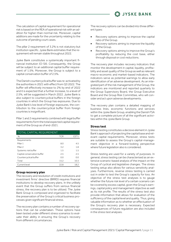

The calculation of capital requirement for operational risk is based on the REA of operational risk with an addition for higher-than-normal risk. Moreover, capital additions are made for the uncertainty relating to the outcome of pending court cases.

The pillar 2 requirement of 3.2% is not statutory but institution specific. Jyske Bank estimates that the requirement will remain stable throughout 2022.

Jyske Bank constitutes a systemically important financial institution (O-SII). Consequently, the Group will be subject to an additional capital buffer requirement of 1.5%. Moreover, the Group is subject to a capital conservation buffer of 2.5%.

The Danish countercyclical bufferwas re-activated by the authorities in 2021 with effect from Q3 2022. The buffer will effectively increase to 2% by end of 2022 and it is expected that a further increase, to a level of 2.5%, will be suggested in March 2022. Jyske Bank is also subject to countercyclical buffers in the foreign countries in which the Group has exposures. Due to Jyske Bank's low level of foreign exposures, the contribution to the countercyclical buffer from foreign countries is insignificant.

Pillar 1 and 2 requirements combined with legal buffer requirements form the total expected capital requirement of the Group as of end-2021.

| <b>TOTAL CAPITAL REQUIREMENT</b> |            |                  |
|----------------------------------|------------|------------------|
| $\%$                             | <b>TCR</b> | CFT <sub>1</sub> |
| Requirements                     |            |                  |
| Pillar 1                         | 8.0        | 4.5              |
| Pillar <sub>2</sub>              | 3.2        | 1.8              |
| Systemic risk buffer             | 1.5        | 1.5              |
| Capital conservation buffer      | 2.5        | 2.5              |
| Countercyclical buffer           | 0.0        | 0.0              |
| Total                            | 15.2       | 10.3             |
| Current level                    | 22.8       | 18.2             |

#### **Group recovery plan**

The recovery and resolution of credit institutions and investment firms' directive (BRRD) requires financial institutions to develop recovery plans. In the unlikely event that the Group suffers from serious financial stress, the recovery plan is to be utilized. The Jyske Bank Group is composed and organized to facilitate the preservation of the Group's critical business processes given significant financial stress.

The recovery plan contains a number of recovery options that can be undertaken. These options have been tested under different stress scenarios to evaluate their ability in ensuring the Group's recovery from different circumstances.

The recovery options can be divided into three different types:

- Recovery options aiming to improve the capital ratio of the Group.
- Recovery options aiming to improve the liquidity of the Group.
- Recovery options aiming to improve the Group's profitability by reducing the cost base, either through disposal or cost reductions.

The recovery plan includes recovery indicators that monitor the development in capital, liquidity, profitability and asset quality of the Group as well as relevant macro-economic and market-based indicators. The indicators serve as potential warnings to allow early identification of an adverse development. As an integrated part of the risk management of the Group, the indicators are monitored and reported quarterly to the Group Supervisory Board, the Group Executive Board and the Group Risk Committee, who will consider and act upon adverse developments.

The recovery plan contains a detailed mapping of business lines, economic functions and services within the Jyske Bank Group, enabling the Danish FSA to get a complete picture of all the significant activities within the Jyske Bank Group.

#### **Stress test**

Stress testing constitutes a decisive element in Jyske Bank's approach of projecting the capital base and relevant capital requirements. Moreover, stress tests are suitable to assess the Group's capital-management objective in a forward-looking perspective where future legislation also is considered.

Stress testing are used for a variety of purposes. In general, stress testing can be characterised as an extensive scenario-based analysis of the impact on the Group of cyclical and legislative changes. The stress testing setup also allows for various sensitivity analyses. Furthermore, reverse stress testing is carried out in order to test the Group's capacity for loss. An objective of the stress test analyses is to gauge whether the future risk level of a certain scenario can be covered by excess capital, given the Group's earnings, capital policy and management objective as well as its risk profile. The results of the stress test also provide information that allows for evaluation of the sufficiency of the capital level and quality. Thus, giving valuable information as to whether an effectuation of the Group's recovery plan is necessary. Expected consequences of future regulation are also included in the stress test analyses.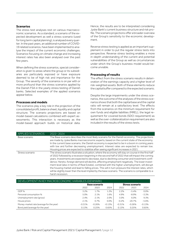#### **Scenarios**

The stress test analyses rest on various macroeconomic scenarios. As a standard, a scenario of the expected development as well a stress scenario (used for long term capital planning), is analysed every quarter. In the past years, an additional number of COVID-19 related scenarios, have been implemented to analyse the impact of the current economic challenges. Scenarios focusing on climate change and increasing interest rates has also been analysed over the past few years.

When defining the stress scenarios, special consideration is given to areas where the group or its subsidiaries are particularly exposed or have exposure deemed to be of high risk and importance for the Group. The severity of the scenarios is on par with or more profound than the stress scenarios applied by the Danish FSA in the yearly stress testing of Danish banks. Selected examples of the applied scenarios appear below.

#### **Processes and models**

The scenarios play a key role in the projection of the consolidated profit, balance sheet, liquidity and capital structure. The scenario projections are based on model-based calculations combined with expert assessments. This interaction is necessary as the model-based approach builds on historical data.

Hence, the results are to be interpreted considering Jyske Bank's current business structure and risk profile. The scenario projections offer a broader overview of the Group's sensitivity to the economic development.

Reverse stress testing is applied as an important supplement in order to put the regular stress tests into perspective. Reverse stress testing enables a more in-depth understanding of the current and potential vulnerabilities of the Group as well as circumstances under which the Group's business model would become unviable.

#### **Processing of results**

The effect from the stress scenario results in deterioration of the earnings capacity and a higher level of risk-weighted assets. Both of these elements reduce the capital buffer compared to the expected scenario.

Despite the large impairments under the stress scenarios, the outcome of the analyses of the stress scenarios shows that both the capital base and the capital ratio will remain at a satisfactory level. The effects from the scenarios on the minimum requirement for own funds and eligible liabilities (MREL), the legal requirement for covered bonds (SDO-requirement) as well as the over-collateralization requirement are also included in the results of the stress tests.

| <b>APPLIED SCENARIOS</b> | $2022 - 2024$                                                                                                                                                                                                                                                                                                                                                                                                                                                                                                                                                                                                                                                                                                                                  |
|--------------------------|------------------------------------------------------------------------------------------------------------------------------------------------------------------------------------------------------------------------------------------------------------------------------------------------------------------------------------------------------------------------------------------------------------------------------------------------------------------------------------------------------------------------------------------------------------------------------------------------------------------------------------------------------------------------------------------------------------------------------------------------|
| Base scenario            | The Base scenario describes the most likely scenario for the Danish economy. The projections<br>are made by Jyske Banks macroeconomic experts, based on the current state of the economy.<br>In the current base scenario, the Danish economy is expected to be in a boom in coming years<br>with low and further decreasing unemployment. Interest rates are expected to remain low.<br>Housing prices are expected to stabilize after seeing significant increases in 2021.                                                                                                                                                                                                                                                                  |
| Stress scenario          | The stress scenario illustrates a situation, where the economy will stay on course in the first half<br>of 2022 followed by a recession beginning in the second half of 2022 that will impact the coming<br>years. Investments are expected to decrease, due to declining consumer and investment confi-<br>dence. Hereto, foreign demand will decline, affecting employment negatively. The lower invest-<br>ment level (also in terms of Real Estate), combined with the higher unemployment, will disrupt<br>the housing market and lead to falling prices. This will in turn pressure the interest rates, which<br>will be slightly lower than the level implied by the base scenario. The scenario is comparable to a<br>harsh recession. |

| DEVELOPMENT IN KEY MACROECONOMIC VARIABLES (DENMARK) |                      |          |                        |          |          |          |
|------------------------------------------------------|----------------------|----------|------------------------|----------|----------|----------|
|                                                      | <b>Base scenario</b> |          | <b>Stress scenario</b> |          |          |          |
|                                                      | 2022                 | 2023     | 2024                   | 2022     | 2023     | 2024     |
| GDP %                                                | 3.2%                 | 1.7%     | 1.2%                   | 2.2%     | $-5.4%$  | 0.0%     |
| Personal consumption %                               | 5.0%                 | 2.1%     | 1.6%                   | 4.9%     | $-8.9%$  | $-3.3%$  |
| Unemployment rate (gross)                            | 2.4%                 | 2.1%     | 2.0%                   | 3.0%     | 6.0%     | 9.3%     |
| House prices                                         | 2.1%                 | 0.7%     | $0.0\%$                | $-0.2%$  | $-20.7%$ | $-5.6%$  |
| Money-market rate (average for the year)             | $-0.31%$             | $-0.26%$ | $-0.13%$               | $-0.31%$ | $-0.26%$ | $-0.13%$ |
| Bond yield (average for the year)                    | 0.13%                | 0.25%    | 0.65%                  | 0.13%    | 0.25%    | 0.65%    |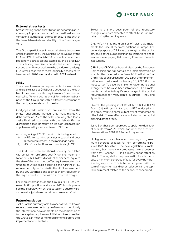#### **External stress tests**

Stress testing financial institutions is becoming an increasingly important aspect of both national and international authorities' efforts to ensure integrity of the financial markets and stability of the financial system.

The Group participates in external stress testing exercises facilitated by the Danish FSA as well as by the EBA and IMF. The Danish FSA conducts annual macroeconomic stress testing exercises, and a large EBA stress testing exercise is conducted at least every second year. However, due to the pandemic, the large EBA stress test, which were originally scheduled to take place in 2020 was conducted in 2021 instead.

#### **MREL**

The current minimum requirements for own funds and eligible liabilities (MREL) are set equal to the double of the current capital requirements (the countercyclical buffer only counts once) for the banking business of the Group but with a different treatment of the mortgage assets within the Group.

Mortgage-credit institutions are exempt from the MREL requirement. Instead, they must maintain a debt buffer of 2% of the total non-weighted loans. Jyske Realkredit complies with the debt-buffer requirement based primarily on its high capitalisation supplemented by a smaller issue of NPS debt.

As of beginning of 2022, the MREL is the higher of

- i) MREL for banking activities + capital and debt buffer requirement in the mortgage bank
- ii) 8% of total liabilities and own funds (TLOF)

The MREL requirement should primarily be fulfilled with senior non-preferred debt(NPS). The implementation of BRRD II allows for 4% of senior debt(equal to the size of the combined buffer requirement) to continue to count as eligible liabilities and fulfil the MREL requirement. Jyske Bank fulfils the MREL requirement by end 2021 and has done so since the introduction of the requirement and that with a substantial margin.

For more information on the Group's MREL requirement, MREL position, and issued NPS bonds, please see the link below, which is updated on a quarterly basis: investor.jyskebank.com/investorrelations/debt.

#### **Future legislation**

Jyske Bank is currently able to meet all future, known regulatory requirements. Jyske Bank monitors closely the international developments on the completion of further capital-requirement initiatives, to ensure that the Group can meet all new requirements before their implementation deadlines.

Below is a short description of the regulatory changes, which are expected to affect Jyske Bank notably during the coming years.

CRD VI/CRR III is the draft set of rules that implements the Basel III recommendations in Europe. The general purpose of CRR was to strengthen the capital structure of the European financial institutions and to ensure a level playing field among European financial institutions.

CRR III and CRD VI has been drafted by the European Commission and will contain the implementation of what is often referred to as Basel IV. The first draft of CRR III has been published in 2021, but the implementation was postponed to January  $1<sup>st</sup>$ , 2025 (for the most parts). To ease the implementation transitional arrangement has also been introduced. This implementation will entail significant changes in the capital requirements for many banks In Europe – including Jyske Bank.

Overall, the phasing-in of Basel IV/CRR III/CRD VI from 2025 will result in increasing REA under pillar 1, and presumably to some extent offset by decreasing pillar 2 risk. These effects are included in the capital planning of the group.

Jyske Bank has been approved to apply new definition of defaults from 2021,which is an initial part of the implementation of EBA IRB Repair Programme.

EU legislation has introduced rules regarding minimum coverage of loses for non-performing exposures (NPL backstop). The new legislation is implemented, but merely encompasses new exposures from post 26 April 2019, and currently has an effect on pillar 2. The legislation requires institutions to compute a minimum coverage of loss for every non-performing exposure. This is to be compared with the sum of impairments and other reductions in the capital requirement related to the exposure concerned.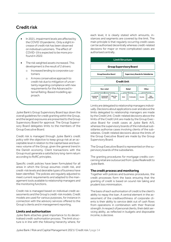### <span id="page-14-0"></span>Credit risk

- In 2021, impairment levels are affected by the COVID 19 pandemic. Only a slight increase of credit risk has been observed on individual customers. The effect of COVID-19 is expected to be more profound in 2022.
- The risk weighted assets increased. This development is the result of 2 drivers:
	- o Increased lending to corporate customers
	- o A more conservative approach to credit risk due to mitigation of uncertainty regarding compliance with new requirements for the Advanced Internal Rating-Based modelling approach.

Jyske Bank's Group Supervisory Board lays down the overall guidelines for credit granting within the Group, and the largest exposures are presented to the Group Supervisory Board for approval. The Group Supervisory Board delegates limits to the members of the Group Executive Board.

Credit risk is managed through Jyske Bank's credit policy with the objective to keep group risk at an acceptable level in relation to the capital base and business volume of the Group, given the general trend in the Danish economy. Client transactions with the Group must generate a satisfactory long-term return according to RoRC principles.

Specific credit policies have been formulated for all areas in which the Group assumes credit risk, and credit-risk levels and desirable types of business have been identified. The policies are regularly adjusted to meet current requirements and adapted to the management tools available to relationship managers and the monitoring functions.

Credit risk is managed based on individual credit assessments and the Group's credit-risk models. Credit models are used for various purposes, for instance in connection with the advisory services offered to the Group's clients and in management reporting.

#### **Limits and authorisation**

Jyske Bank attaches great importance to its decentralised credit-authorisation process. The limit structure is in line with the following hierarchy where, for each level, it is clearly stated which amounts, instances and segments are covered by the limit. The main principle is that regularly occurring credit cases can be authorised decentrally whereas credit-related decisions for major or more complicated cases are authorised centrally.



Limits are delegated to relationship managers individually. Decisions about applications over and above the limits delegated to relationship managers are made by the Credit Unit. Credit-related decisions above the limits of the Credit Unit are made by the Group Executive Board for credit cases at Jyske Bank A/S, whereas the supervisory boards of the individual subsidiaries authorise cases involving clients of the subsidiaries. Credit-related decisions above the limits of the Group Executive Board are made by the Group Supervisory Board.

The Group Executive Board is represented on the supervisory boards of the subsidiaries.

The granting procedures for mortgage credits concerning retail are outsourced from Jyske Realkredit to Jyske Bank.

#### **The credit process and monitoring**

Together with policies and business procedures, the credit processes form the basis ensuring that the granting of credit is based on sound risk taking and prudent loss minimisation.

The basis of each authorisation of credit is the client's ability to repay the loan. A central element in the assessment of the creditworthiness of corporate clients is their ability to service debt out of cash flows from operations in combination with their financial strength. In respect of personal clients, their debt servicing ability, as reflected in budgets and disposable income, is decisive.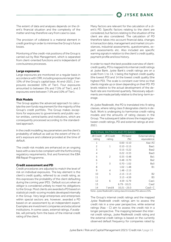

The extent of data and analyses depends on the client's financial situation and the complexity of the matter and may therefore vary from case to case.

The provision of collateral is a material element in credit granting in order to minimise the Group's future losses.

Monitoring of the credit-risk positions of the Group is carried out by Risk Management, which is separated from client-oriented functions and is independent of core business processes.

#### **Large exposures**

Large exposures are monitored on a regular basis in accordance with CRR, including exposures larger than 10% of the Group's capital base. At end-2021, 2 exposures exceeded 10% of Tier1. Four exposures amounted to between 5% and 7.5% of Tier1, and 3 exposures were between 7.5% and 10% of Tier1.

#### **Risk Models**

The Group applies the advanced approach to calculate the own funds requirement for the majority of the Group's credit portfolio. The Group makes exceptions for exposures to governments and public-sector entities, central banks and institutions, which are consequently processed according to the standardised approach.

In the credit modelling, key parameters are the client's probability of default as well as the extent of the client's exposure and collateral provided at the time of default.

The credit-risk models are enhanced on an ongoing basis with a view to be compliant with the forthcoming regulatory requirements, first and foremost the EBA IRB Repair Programme.

#### **Credit assessment and PD**

Credit procedures are adjusted to match the level of risk on individual exposures. The key element is the client's credit quality, referred to as credit rating, as this expresses the probability of the client defaulting during the coming year (PD). Default occurs when an obligor is considered unlikely to meet his obligations to the Group. Most clients are awarded a PD based on statistical credit-scoring models developed internally in the Group. Very large enterprises and enterprises within special sectors are, however, awarded a PD based on an assessment by an independent expert. Examples are investment companies and educational institutions. In some cases, external ratings, if available, will primarily form the basis of the internal credit rating of the client.

Many factors are relevant for the calculation of a client's PD. Specific factors relating to the client are considered, but factors relating to the situation of the client are also considered. The calculation of PD therefore takes into account financial data, changes in transaction data, management and market circumstances, industrial assessments, questionnaires, expert assessments etc. Also included are specific warning signals in relation to the client's credit quality, payment profile and loss history.

In order to reach the best possible overview of clientcredit quality, PD is mapped into internal credit ratings at Jyske Bank. Jyske Bank's credit ratings are on a scale from 1 to 14, 1 being the highest credit quality (the lowest PD) and 14 the lowest credit quality (the highest PD). The scale is constant over time so that clients migrate up or down depending on their PD. PD levels relative to the actual development of the default rate are monitored quarterly. Necessary adjustments are made partially relative to the long-term average.

At Jyske Realkredit, the PD is translated into 9 rating classes, where rating class 9 designates clients in default. Work is undergoing to harmonise credit-rating models and the amounts of rating classes in the Group. The subsequent table shows the mapping between credit ratings, PD and external ratings at end-2021.

| INTERNAL RATINGS AND PD BAND |           |                |                 |  |  |
|------------------------------|-----------|----------------|-----------------|--|--|
| JB Credit.                   | JR Credit | PD band        | External rating |  |  |
| rating                       | rating    | (%)            | equivalence     |  |  |
| 1                            |           | 0.00 - 0.10    | Aaa-A3          |  |  |
| $\overline{c}$               | 1         | $0.10 - 0.15$  | Baa1            |  |  |
| 3                            |           | $0.15 - 0.22$  | Baa2            |  |  |
| $\overline{4}$               |           | $0.22 - 0.33$  | Baa3            |  |  |
| 5                            | 2         | $0.33 - 0.48$  | Ba1             |  |  |
| 6                            |           | $0.48 - 0.70$  | Ba2             |  |  |
| $\overline{7}$               | 3         | $0.70 - 1.02$  | Ba3             |  |  |
| 8                            |           | $1.02 - 1.48$  | Β1              |  |  |
| 9                            | 4         | $1.48 - 2.15$  |                 |  |  |
| 10                           | 5         | $2.15 - 3.13$  | <b>B2</b>       |  |  |
| 11                           |           | $3.13 - 4.59$  | <b>B3</b>       |  |  |
| 12                           | 6         | $4.59 - 6.79$  | Caa1            |  |  |
| 13                           |           | $6.79 - 10.21$ | Caa2            |  |  |
| 14                           | 7 and 8   | $10.21 - 25.0$ | Caa3-C          |  |  |

Note: Jyske Realkredit's rating class 8 includes PDs above 25%.

The Group's internal credit ratings and the mapped Jyske Realkredit credit ratings aim to assess the credit risk in a one-year perspective, while external ratings (Aaa - C) aim to assess the credit risk in a longer perspective. The mapping between the internal credit ratings, Jyske Realkredit credit rating and the external credit ratings is based on the currently observed default frequency for companies rated by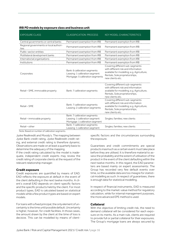#### **IRB PD models by exposure class and business unit**

| <b>EXPOSURE CLASS</b>                          | <b>CLASSIFICATION PROCESS</b>                                                                      | <b>KEY MODEL CHARACTERISTICS</b>                                                                                                                                           |
|------------------------------------------------|----------------------------------------------------------------------------------------------------|----------------------------------------------------------------------------------------------------------------------------------------------------------------------------|
| Central governments or central banks           | Permanent exemption from IRB                                                                       | Permanent exemption from IRB                                                                                                                                               |
| Regional governments or local authori-<br>ties | Permanent exemption from IRB                                                                       | Permanent exemption from IRB                                                                                                                                               |
| Public-sector entities                         | Permanent exemption from IRB                                                                       | Permanent exemption from IRB                                                                                                                                               |
| Multilateral development banks                 | Permanent exemption from IRB                                                                       | Permanent exemption from IRB                                                                                                                                               |
| International organisations                    | Permanent exemption from IRB                                                                       | Permanent exemption from IRB                                                                                                                                               |
| Institutions                                   | Permanent exemption from IRB                                                                       | Permanent exemption from IRB                                                                                                                                               |
| Corporates                                     | Bank: 6 calibration segments<br>Leasing: 1 calibration segment<br>Mortgage: 5 calibration segments | Covering different sub-segments<br>with different risk and information<br>available for modelling; e.g. Agriculture,<br>Rentals, Sole proprietorships,<br>new clients etc. |
| Retail - SME, immovable property               | Bank: 7 calibration segments                                                                       | Covering different sub-segments<br>with different risk and information<br>available for modelling; e.g. Agriculture,<br>Rentals, Sole proprietorships,<br>new clients etc. |
| Retail-SME                                     | Bank: 7 calibration segments<br>Leasing: 2 calibration segments                                    | Covering different sub-segments<br>with different risk and information<br>available for modelling; e.g. Agriculture,<br>Rentals, Sole proprietorships,<br>new clients etc. |
| Retail - immovable property                    | Bank: 7 calibration segments<br>Leasing: 1 calibration segment<br>Mortgage: 1 calibration segment  | Singles; families; new clients                                                                                                                                             |
| Retail-other                                   | Bank: 7 calibration segments<br>Leasing: 1 calibration segment                                     | Singles; families; new clients                                                                                                                                             |

Note: Based on number of calibration segments.

Jyske Realkredit and Moody's. The mapping between Jyske Bank credit rating, Jyske Realkredit credit rating, and external credit rating is therefore dynamic. Observations are made on at least a quarterly basis to determine the adequacy of the mapping.

If the credit rating calculated by the model is inadequate, independent credit experts may review the credit rating of corporate clients at the request of the relevant relationship manager.

#### **Credit exposure**

Credit exposures are quantified by means of EAD. EAD reflects the exposure at default in the event of the client defaulting in the next twelve months. A client's overall EAD depends on client-specific factors and the specific products held by the client. For most product types, EAD is calculated based on statistical models while a few product types are based on expert models.

For loans with a fixed principal, the only element of uncertainty is the time until possible default. Uncertainty is higher, however, for credit facilities. In those cases, the amount drawn by the client at the time of loss is decisive. This can be modelled by means of clientspecific factors and the circumstances surrounding the exposure.

Guarantees and credit commitments are special products inasmuch as a certain event must take place before they are utilised. It is therefore material to assess the probability and the extent of utilisation of the product in the event of the client defaulting within the next twelve months. In this regard, the EAD parameters are based mainly on expert assessments: The Group has recorded very few default events over time, so the available data are too meagre for statistical modelling as such. In respect of guarantees, there is enough data for statistical modelling.

In respect of financial instruments, EAD is measured according to the market-value method for regulatory calculation, while for internal management purposes, the more advanced EPE method is used.

#### **Collateral**

With the objective of limiting credit risk, the need to demand collateral will be considered for each exposure on its merits. As a main rule, clients are required to provide full or partial collateral for their exposures. The Group's mortgage loans are always secured by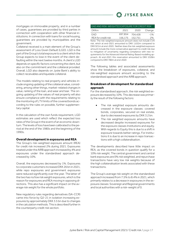

mortgages on immovable property, and in a number of cases, guarantees are provided by third parties in connection with cooperation with other financial institutions. In connection with loans for social housing, guarantees are provided by municipalities and the government.

Collateral received is a main element of the Group's assessment of Loss Given Default (LGD). LGD is the part of the Group's total exposure to a client which the Group expects to lose in the event of the client defaulting within the next twelve months. A client's LGD depends on specific factors concerning the client, but also on the commitment and the collateral provided. Overall, LGD also depends on Jyske Bank's ability to collect receivables and liquidate collateral.

The models relating to real property and vehicles include ongoing updating of the collateral value, considering, among other things, market-related changes in value, ranking of the loan, and wear and tear. The ongoing updating of the values of real property will also ensure compliance with the requirements relating to the monitoring of LTV limits of the covered bonds according to the rules on possible, further supplementary capital.

In the calculation of the own funds requirement, LGD estimates are used which reflect the expected loss rates of the Group in the event of an economic downturn. The levels of loss have been calibrated to the period at the end of the 1980s and the beginning of the 1990s.

#### **Overall development in exposures and REA**

The Group's risk-weighted exposure amount (REA) for credit risk increased 2% during 2021. Exposures treated under the AIRB approach increased by 4% and exposures under the standardised approach decreased by 10%.

Overall, the exposures decreased by 1%. Exposures to corporate customers increased DKK 26 bn in 2021, while repo exposures and government exposures were reduced significantly over the year. The latter of the two has no/low risk weight exposures, which is the reason for exposures and REA moving in opposing directions. This also has a significant impact on the average risk weight for the whole portfolio.

New regulatory rules regarding derivatives (SA-CCR) came into force by Q2-21 in isolation increasing exposures by approximately DKK 3.5 bn due to changes in the calculation methods. This is described further in the counterparty credit risk section.

| EAD AND RISK-WEIGHTED EXPOSURE FOR CREDIT RISK |         |                 |        |  |  |  |  |
|------------------------------------------------|---------|-----------------|--------|--|--|--|--|
| DKKm                                           | 2021    | 2020            | Change |  |  |  |  |
| FAD.                                           | 697.854 | 704.428         | $-1\%$ |  |  |  |  |
| REA for credit risk                            |         | 156.175 152.751 | 2%     |  |  |  |  |

Note: The risk-weighted exposure amount does not include CVA risk, which at end-2021 amounted to DKK 1,632m compared to DKK 921m at end-2020. Neither does the risk-weighted exposure amount include the more conservative approach to credit risk due to mitigation of uncertainty regarding compliance with new requirements for the Advanced Internal Rating-Based modelling approach. At end-2021 this reservation amounted to DKK 5328m compared to DKK 780m at end-2020

The following tables and associated assessments show the breakdown of exposures, collateral, and risk-weighted exposure amount according to the standardised approach and the AIRB approach.

#### **Breakdown of development for standardised approach**

For the standardised approach, the risk weighted exposure decreased by 10%. This decrease was primarily the result of the following factors:

- The risk weighted exposure amounts decreased in the exposure classes: covered bonds, corporates, secured on real estate, due to decreased exposures by DKK 3.2 bn.
- The risk weighted exposure amounts have decreased despite increased exposures for the exposure classes Institutions and equity. With regards to Equity this is due to a shift in exposure towards better ratings. For institutions it is due to an increase in repo transactions with a high collateralisation.

The developments described have little impact on REA, as the covered bonds in question qualify for a 10% risk weight. The central government and central bank exposures are 0% risk weighted, and repurchase transactions have very low risk weights because of the high collateralisation levels associated with these transactions.

The Group's average risk weight on the standardised approach increased from 7.5% to 8.4% in 2021, which primarily relates to a decrease in exposures in the exposure classes: Sovereign and Regional governments and local authorities with a risk-weight of 0.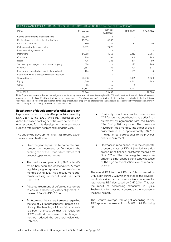| BREAKDOWN OF COLLATERAL BY EXPOSURE TYPE ACCORDING TO THE STANDARDISED APPROACH |          |                         |                 |                 |  |  |  |  |  |
|---------------------------------------------------------------------------------|----------|-------------------------|-----------------|-----------------|--|--|--|--|--|
| <b>DKKm</b>                                                                     | Exposure | Financial<br>collateral | <b>REA 2021</b> | <b>REA 2020</b> |  |  |  |  |  |
| Central governments or central banks                                            | 33,950   | 1                       | 2               | 3               |  |  |  |  |  |
| Regional governments or local authorities                                       | 18,894   | 6,342                   |                 |                 |  |  |  |  |  |
| Public sector entities                                                          | 140      | 84                      | 11              | 30              |  |  |  |  |  |
| Multilateral development banks                                                  | 8,739    | 7,626                   |                 |                 |  |  |  |  |  |
| International organisations                                                     |          |                         |                 |                 |  |  |  |  |  |
| Institutions                                                                    | 14,058   | 4,318                   | 2,412           | 2,785           |  |  |  |  |  |
| Corporates                                                                      | 978      | 187                     | 549             | 1,243           |  |  |  |  |  |
| Retail                                                                          | 706      | 242                     | 274             | 80              |  |  |  |  |  |
| Secured by mortgages on immovable property                                      | 584      |                         | 190             | 266             |  |  |  |  |  |
| In default                                                                      | 1,354    | 23                      | 794             | 817             |  |  |  |  |  |
| Exposures associated with particularly high risk                                | 124      | 2                       | 183             | $\Omega$        |  |  |  |  |  |
| Institutions with a short-term credit assessment                                |          |                         |                 |                 |  |  |  |  |  |
| Covered bonds                                                                   | 50,948   |                         | 5,095           | 5,320           |  |  |  |  |  |
| Equity                                                                          | 1,650    |                         | 1,650           | 1,845           |  |  |  |  |  |
| Other                                                                           | 16       | 15                      |                 |                 |  |  |  |  |  |
| <b>Total 2021</b>                                                               | 132,141  | 18,841                  | 11,161          |                 |  |  |  |  |  |
| <b>Total 2020</b>                                                               | 156,744  | 33,453                  |                 | 12,388          |  |  |  |  |  |

Note: Exposures to central banks, central governments and government units are risk-weighted by 0%, and therefore financial collateral does not provide any credit-risk mitigating effect for these counterparties. The risk weighting for defaulted clients is highly correlated with the level of provisions associated.According to the standardised approach, real-property collateral equals the exposure class secured by mortgages on immovable property and is consequently not displayed explicitly.

#### **Breakdown of development for AIRB approach**

Exposures treated on the AIRB approach increased by DKK 18bn during 2021, while REA increased DKK 4.8bn. Increased banking activities with corporate clients account for this development whereas exposures to retail clients decreased during the year.

The underlying developments of AIRB treated exposures are described below:

- Over the year exposures to corporate customers have increased by DKK 6bn in the banking part of the Group, which relates to all product types except repos.
- The previous setup regarding SME reclassification has been too conservative. A more regulatory aligned approach has been implemented during 2021. As a result, more customers are eligible for SME and SME-Retail treatment.
- Adjusted treatment of defaulted customers to ensure a closer regulatory alignment increased REA with DKK 3.2bn.
- As future regulatory requirements regarding the use of VaR approaches will increase significally, the handling of financial collaterals has been changed, so that the regulatory FCCM method is now used. This change of method reduced the collateral value with DKK 2bn.
- Previously, non-EBA-compliant use of own CCF factors has been handled as a pillar 2 requirement by agreement with the Danish FSA. During 2021 a proper pillar 1 solution have been implemented. The effect of this is an increase in EaD of approximately DKK 7bn. The REA effect corresponds to the previous pillar 2 requirement.
- Decrease in repo exposure in the corporate exposure class of DKK 7.3bn. led to a decrease in the financial collaterals received by DKK 7.7bn. The risk weighted exposure amount did not change significantly because of the high collateralisation level of repo exposures.

The overall REA for the AIRB portfolio increased by DKK 4.8bn during 2021, which relates to the developments described for corporate clients, whereas for retail clients REA decreased by DKK 0.7bn. This was the result of decreasing exposures in Jyske Realkredit, which was not covered by the increase in the banking part.

The Group's average risk weight according to the AIRB approach increased from 24.8% to 24.9% during 2021.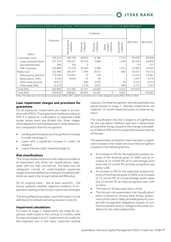

#### BREAKDOWN OF COLLATERAL BY COLLATERAL TYPE FOR EXPOSURE ACCORDING TO THE AIRB APPROACH

|                         |          |                             |                         | Collateral             |                               |                          |                 |                 |
|-------------------------|----------|-----------------------------|-------------------------|------------------------|-------------------------------|--------------------------|-----------------|-----------------|
| <b>DKKm</b>             | Exposure | Real property<br>collateral | Collateral<br>Financial | collateral<br>Physical | collateral<br>funded<br>Other | Guarantee<br>collateral  | <b>REA 2021</b> | <b>REA 2020</b> |
| Corporates, total       | 330,514  | 185,758                     | 49,810                  | 8,186                  |                               | 2,731                    | 95,038          | 89,458          |
| Large corporate clients | 227,333  | 128,327                     | 39,250                  | 2,688                  |                               | 1,394                    | 62,159          | 64,800          |
| Specialised lending     | 296      | 156                         | 0                       |                        |                               |                          | 74              | 213             |
| SME corporates          | 102,884  | 57,276                      | 10,560                  | 5,498                  |                               | 1,337                    | 32,805          | 24,445          |
| Retail, total           | 222,485  | 185,547                     | 1.946                   | 8,017                  |                               | 682                      | 42,637          | 43,375          |
| Real property, personal | 179,199  | 176,931                     | 72                      | 110                    |                               | $\overline{\phantom{a}}$ | 31,514          | 33,461          |
| Real property, SMEs     | 9,703    | 8,616                       | 75                      | 29                     |                               |                          | 1,597           | 4,376           |
| Other retail, personal  | 18,271   |                             | 660                     | 5,205                  |                               | 36                       | 4,755           | 4,014           |
| Other retail, SMEs      | 15,313   |                             | 1.139                   | 2,672                  |                               | 646                      | 4,771           | 1,523           |
| <b>Total 2021</b>       | 552,999  | 371,305                     | 51,757                  | 16,202                 |                               | 3,413                    | 137,674         |                 |
| <b>Total 2020</b>       | 534,955  | 368,823                     | 60,423                  | 14,101                 | 9                             | 3,051                    |                 | 132,833         |

Note: The table does not include securitisations (REA: DKK 1,382m); and other non-credit-obligation assets (REA: DKK 6,378m).

#### **Loan impairment charges and provisions for guarantees**

For all exposures, impairments are made in accordance with IFRS 9. The impairment model according to IFRS 9 is based on a calculation of expected credit losses where loans are divided into three stages, which depend on the individual loan's credit deterioration compared to the first recognition:

- Lending with the absence of a significant increase in credit risk (stage 1).
- Loans with a significant increase in credit risk (stage 2).
- Loans that are credit-impaired (stage 3).

#### **Risk classifications**

The Group divides exposures with objective evidence of impairment into three risk classifications: exposures with low, high, and full risk. The latter two risk categories consist of credit-impaired exposures (stage 3) and are defined according to the default definition as used in the Group's advanced IRB setup.

On an ongoing basis - and at least quarterly - the Group assesses whether objective evidence of impairment relating to the Group's clients has emerged.

The Annual Report provides more information on the definitions for default and rating classes in note 50.

#### **Impairment calculations**

For loans at stage 1, impairments are made for expected credit losses in the coming 12 months, while for loans at stages 2 and 3, impairments are made for the expected loss in the loans' expected residual maturity. On initial recognition, the individual loans are placed based on stage 1, whereby impairments are made for 12-month expected losses on initial recognition.

The classification into the 3 stages is of significance for the calculation method used and is determined, among other things, based on the change in probability of default (PD) over the expected residual maturity of the loan.

The assessment of whether there has been a significant increase in the credit risk since initial recognition is based on the following factors:

- An increase in PD for the expected residual maturity of the financial asset of 100% and an increase of 12-month PD of 0.5 percentage point when the 12-month PD at initial recognition was below 1.0%.
- An increase in PD for the expected residual maturity of the financial asset of 100% or an increase of 12-month PD of 2.0 percentage points when the 12-month PD at initial recognition was 1.0% or more.
- The loan is in 30 days past due or more.
- The Group's risk assessment (risk classification), which is based on, among other things, assessment of the client's ability and willingness to comply with his payment obligations, breach of contract/covenants and/or changes in the initial conditions for the client relationship.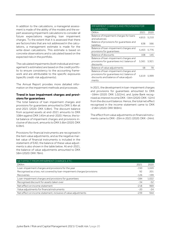In addition to the calculations, a managerial assessment is made of the ability of the models and the expert assessing impairment calculations to consider all future expectations regarding loan impairment charges. To the extent that it is assessed that there are factors/risks that are not addressed in the calculations, a management estimate is made for the write-down calculations. This estimate is based on concrete observations and is calculated based on the expected risks in the portfolio.

The calculated impairments (both individual and management's estimates) are based on the credit portfolio to ensure consistency to the accounting framework and are attributable to the specific exposures (specific credit-risk adjustments).

The Annual Report provides more detailed information on the impairment methods and processes.

#### **Trend in loan impairment charges and provisions for guarantees**

The total balance of loan impairment charges and provisions for guarantees amounted to DKK 5.4bn at end-2021 (2020: DKK 5.8bn). The discount balance from acquired assets at end-2021 amounts to DKK 108m against DKK 145m at end-2020. Hence, the total balance of impairment charges and provisions inclusive of discount, amounts to DKK 5.6bn (2020: DKK 6.0bn).

Provisions for financial instruments are recognised in the item value adjustments, and as the negative market value of financial instruments is included in the statement of EAD, the balance of these value adjustments is also shown in the table below. At end-2021, the balance of value adjustments amounted to DKK 58m (2020: DKK 78m).

| IMPAIRMENT CHARGES AND PROVISIONS FOR<br><b>GUARANTEES</b>                                                                              |       |       |  |  |  |  |
|-----------------------------------------------------------------------------------------------------------------------------------------|-------|-------|--|--|--|--|
| <b>DKKm</b>                                                                                                                             | 2021  | 2020  |  |  |  |  |
| Balance of impairment charges for loans<br>and advances                                                                                 | 4.815 | 5.210 |  |  |  |  |
| Balance of provisions for quarantees and<br>liabilities                                                                                 | 638   | 566   |  |  |  |  |
| Balance of loan-impairment charges and<br>provisions for quarantees                                                                     | 5,453 | 5,776 |  |  |  |  |
| Balance of discounts                                                                                                                    | 108   | 145   |  |  |  |  |
| Balance of loan-impairment charges and<br>provisions for guarantees incl. balance of<br>discounts                                       | 5,561 | 5,921 |  |  |  |  |
| Balance of value adjustments                                                                                                            | 58    | 78    |  |  |  |  |
| Balance of loan-impairment charges and<br>provisions for guarantees incl. balance of<br>discounts and balance of value adjust-<br>ments | 5.619 | 5,999 |  |  |  |  |

In 2021, the development in loan-impairment charges and provisions for guarantees amounted to DKK -184m (2020: DKK 1,022m), and Jyske Bank recognised as interest income DKK -34m (2020: DKK -52m) from the discount balance. Hence, the total net effect recognised in the income statement came to DKK -218m (2020: DKK 969m).

The effect from value adjustments on financial instruments came to DKK -20m in 2021 (2020: DKK -24m).

| NET EFFECT FROM IMPAIRMENT CHARGES, ETC.                                |        |        |
|-------------------------------------------------------------------------|--------|--------|
| <b>DKKm</b>                                                             | 2021   | 2020   |
| Loan-impairment charges and provisions for the year                     | $-150$ | 1,020  |
| Recognised as a loss, not covered by loan-impairment charges/provisions | 92     | 201    |
| Recoveries                                                              | $-126$ | $-199$ |
| Loan-impairment charges and provisions for quarantees                   | $-184$ | 1,022  |
| Recognised discount for assets taken over                               | $-34$  | $-52$  |
| Net effect on income statement                                          | $-218$ | 969    |
| Value adjustments for financial instruments                             | $-20$  | $-24$  |
| Net effect on income statement, inclusive of value adjustments          | $-239$ | 944    |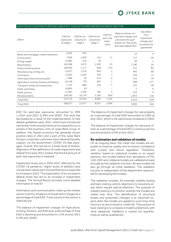

#### EAD FOR ACCOUNTING PURPOSES AND PAST-DUE EXPOSURES BROKEN DOWN BY SECTOR

| <b>DKKm</b>                                | EAD for<br>exposures<br>at stage 1 | EAD for ex-<br>posures at<br>stage 2 | EAD for ex-<br>posures at<br>stage 3 | EAD for<br>past-due<br>expo-<br>sures | Balance of loan-im-<br>pairment charges and<br>provisions for quar-<br>antees incl. discounts<br>and value adjustment | Net effect<br>from<br>impairment<br>charges and<br>provisions for<br>quarantees |
|--------------------------------------------|------------------------------------|--------------------------------------|--------------------------------------|---------------------------------------|-----------------------------------------------------------------------------------------------------------------------|---------------------------------------------------------------------------------|
| Banks and mortgage-credit institutions     | 6,565                              | 955                                  |                                      |                                       | 12                                                                                                                    | $-4$                                                                            |
| Construction                               | 7,903                              | 1,003                                | 134                                  | 11                                    | 112                                                                                                                   | $-26$                                                                           |
| Energy supply                              | 12,805                             | 216                                  | 18                                   |                                       | 50                                                                                                                    | $-1$                                                                            |
| Real property                              | 163,286                            | 5,473                                | 2,592                                | 25                                    | 1,340                                                                                                                 | $-24$                                                                           |
| Finance and insurance                      | 106,049                            | 1,117                                | 658                                  | 274                                   | 527                                                                                                                   | $-85$                                                                           |
| Manufacturing, mining, etc.                | 12,677                             | 1,519                                | 843                                  | 1                                     | 445                                                                                                                   | 80                                                                              |
| Commerce                                   | 13,587                             | 2,292                                | 329                                  | 7                                     | 334                                                                                                                   | 13                                                                              |
| Information and communication              | 1,380                              | 53                                   | 223                                  | $\Omega$                              | 152                                                                                                                   | $-79$                                                                           |
| Agriculture, hunting, forestry and fishing | 10,138                             | 779                                  | 487                                  | 1                                     | 398                                                                                                                   | $-177$                                                                          |
| Transport, hotels and restaurants          | 7,135                              | 884                                  | 234                                  | 7                                     | 151                                                                                                                   | $-48$                                                                           |
| Public authorities                         | 16,805                             | 19                                   |                                      |                                       | 1                                                                                                                     | $\Omega$                                                                        |
| Other sectors                              | 17,663                             | 1,426                                | 185                                  | 5                                     | 223                                                                                                                   | $-4$                                                                            |
| Personal clients                           | 198,783                            | 10,179                               | 3,190                                | 824                                   | 1,873                                                                                                                 | 116                                                                             |
| <b>Total 2021</b>                          | 574,775                            | 25,916                               | 8,893                                | 1,155                                 | 5,619                                                                                                                 | $-239$                                                                          |
| <b>Total 2020</b>                          | 568,677                            | 21,077                               | 8,931                                | 2,994                                 | 5,999                                                                                                                 | 944                                                                             |

EAD for past-due exposures amounted to DKK 1,155m end-2021 (2,994 end-2020). The level has decreased as a result of the implementation of new default guidelines early-2021, which have introduced new arrear-limits and also led to an increased focus on arrears in the business units of Jyske Bank Group. In addition, the Danish economy has generally shown positive rates in 2021 and a part of the Jyske Bank Group's corporate customers have obtained liquidity support via the government COVID-19 help-packages. Overall, this has led to a lower level of arrears. Alignment of the definitions of credit impairment and default from early 2021 implies that the full amount of past-due exposures is impaired.

Impairment levels are in 2020-2021 affected by the COVID-19 pandemic. Higher levels of defaults have not yet been observed in the portfolio but is expected to increase in 2022. The expectation of an increase in default levels has led to an increase in impairment charges. The Annual Report provides more detailed information in note 67.

Information and communication make up the riskiest sector in terms of balance of impairment charges as a percentage of total EAD. Total volume in the sector is relatively low.

The balance of impairment charges for Agriculture, hunting, forestry, and fishing as a percentage of total EAD is declining and amounted to 3.5% at end-2021 (5.9% end-2020).

The balance of impairment charges for real property as a percentage of total EAD amounted to 0.8% at end-2021, which is the same level compared to 2020.

The balance of impairment charges for personal clients as a percentage of total EAD is continuously low and amounted to 0.9% at end-2021.

#### **Re-estimation and validation of models**

On an ongoing basis, the credit-risk models are adjusted to improve quality and to ensure compliance with current and future legislation. Therefore, whether, based on statistical models or on expert opinions, the models behind the calculations of PD, LGD, EAD and collateral models are validated at least annually by the validation function. All new models will also go through an initial validation. The validation function is independent of the department responsible for developing the models.

The validation includes, for example, stability testing and back-testing, and its objective is to reveal any areas which require special attention. The purpose of stability testing is to monitor whether the models are stable over time. The identification of structural breaks and systematic changes is an important aspect when the models are applied to such long-time horizons as are involved in credit risk. The purpose of back-testing is to compare a model's predictions with what happened. Validation is carried out quantitatively as well as qualitatively.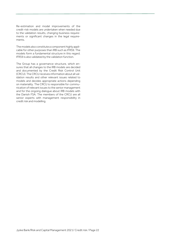Re-estimation and model improvements of the credit-risk models are undertaken when needed due to the validation results, changing business requirements or significant changes in the legal requirements.

The models also constitute a component highly applicable for other purposes than IRB such as IFRS9. The models form a fundamental structure in this regard. IFRS9 is also validated by the validation function.

The Group has a governance structure, which ensures that all changes to the IRB models are decided and documented by the Credit Risk Control Unit (CRCU). The CRCU receives information about all validation results and other relevant issues related to models and decides appropriate actions depending on materiality. The CRCU is responsible for communication of relevant issues to the senior management and for the ongoing dialogue about IRB models with the Danish FSA. The members of the CRCU are all senior experts with management responsibility in credit risk and modelling.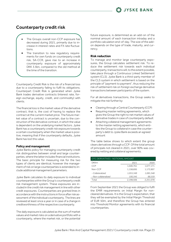### <span id="page-23-0"></span>Counterparty credit risk

- The Groups overall non-CCP exposure has decreased during 2021, primarily due to increase in interest rates and FX rate fluctuations.
- The transition to new regulatory requirements for own funds on counterparty credit risk, SA-CCR, gave rise to an increase in counterparty exposure of approximately DKK 3.5bn, compared to the old method at the time of the transition.

Counterparty Credit Risk is the risk of a financial loss due to a counterparty failing to fulfil its obligations. Counterpart Credit Risk is generated when Jyske Bank trades derivative contracts (interest rate, foreign exchange, equity, credit, and commodity) with clients.

The financial loss is the market value of the derivative contract, that is, the cost of having to replace the contract at the current market price. The future market value of a contract is uncertain, due to the construction of the derivative contract, in which the value is dependent on the underlying market factors. Jyske Bank has a counterparty credit risk exposure towards a certain counterparty when the market value is positive, meaning that if the counterparty defaults, Jyske Bank has lost this value.

#### **Policy and management**

Jyske Banks policy for managing counterparty credit risk distinguishes between small and large counterparties, where the latter includes financial institutions. The basic principle for measuring risk for the two types of clients are identical, however the management of risk on large counterparties is extended to include additional management parameters.

Jyske Bank calculates its daily exposure to individual counterparties within the Group's counterparty credit risk management system. These exposures are included in the credit risk management in line with other credit exposures. Counterparties are granted lines in accordance with the instructions in force after risk assessment of the individual counterparty. The lines are reviewed at least once a year or in case of a change in creditworthiness of the respective counterparty.

The daily exposure is calculated as the sum of market values and market risks on a derivative portfolio with a counterparty, where the market risk, or the potential

future exposure, is determined as an add-on of the nominal amount of each transaction intraday and a portfolio calculation end-of-day. The size of the addon depends on the type of trade, maturity, and currency.

#### **Risk reduction**

To manage and monitor large counterparty exposures, the Group calculates settlement risk. To reduce the settlement risk towards each individual counterparty, transactions will, to the extent possible, take place through a Continuous Linked Settlement system (CLS). Jyske Bank is a third-party member of the CLS system in which settlement is based on the principle of "payment to payment", thus reducing the risk of settlement risk on foreign exchange derivative transactions between participants of the system.

For all derivatives transactions, the Group seeks to mitigate the risk further by:

- Clearing through a Central Counterparty (CCP)
- Requiring master netting agreements, which gives the Group the right to net market values of derivative trades in case of counterparty default
- Attaching collateral management agreements to the master netting agreements, which entitles the Group to collateral in case the counterparty's debt to Jyske Bank exceeds an agreed amount

The table below shows to which extent the group clears derivatives through a CCP. Of the total amount of principals not cleared in 2021, over 90% was covered by netting and collateral agreements.

| OTC DERIVATIVES - NOTIONAL AMOUNT |           |           |  |  |  |  |
|-----------------------------------|-----------|-----------|--|--|--|--|
| <b>DKKm</b>                       | 2021      | 2020      |  |  |  |  |
| CCP                               | 1,040,761 | 1,077,171 |  |  |  |  |
| Non-CCP                           | 1,158,695 | 1,173,907 |  |  |  |  |
| - Collateralized                  | 1.055.349 | 1,085,348 |  |  |  |  |
| - Non-collateralized              | 100,345   | 88,559    |  |  |  |  |
| Total                             | 2,198,506 | 2,251,078 |  |  |  |  |

From September 2021 the Group was obliged to fulfil the EMIR requirements on Initial Margin for noncleared derivatives. It is the Group's expectation, that they will be exempted by the Initial Margin Threshold of EUR 50m, and therefore the Group has entered into Threshold Monitor agreements with its financial counterparties.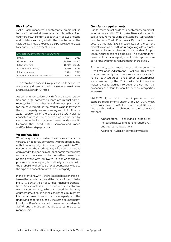#### **Risk Profile**

Jyske Bank measures counterparty credit risk in terms of the market value of a portfolio with a given counterparty, taking into account any allowed netting and collateral exchanged with the counterparty. The table below shows the Group's exposure at end-2021 for counterparties except CCPs.

| COUNTERPARTY CREDIT RISK EXPOSURE     |        |        |
|---------------------------------------|--------|--------|
| <b>DKKm</b>                           | 2021   | 2020   |
| Gross exposure                        | 24.980 | 31,900 |
| Effect of netting                     | 16,400 | 22.649 |
| Exposure after netting                | 8,580  | 9.251  |
| Effect of collateral                  | 3.723  | 2,952  |
| Exposure after netting and collateral | 4.857  | 6.298  |

The overall decrease in Group's non-CCP exposures are primarily driven by the increase in interest rates and fluctuations in FX rates.

Agreements on collateral with financial counterparties and large corporate clients are mutual agreements, which means that Jyske Bank must pay margin for the counterparty if the market value in favour of the counterparty exceeds an agreed limit. At end-2021 roughly half of the Groups collateral holdings consisted of cash, the other half was composed by securities in the form of government bonds issued in Denmark, the United States, Germany and France and Danish mortgage bonds.

#### **Wrong Way Risk**

Wrong-way risk occurs when the exposure to a counterparty is negatively correlated with the credit quality of that counterparty. General wrong way risk (GWWR) occurs when the credit quality of a counterparty is correlated with specific macroeconomic factors that also affect the value of the derivative transaction. Specific wrong way risk (SWWR) arises when the exposure to a counterparty is positively correlated with the probability of default of that counterparty due to the type of transaction with the counterparty.

In the event of SWWR, there is a legal relationship between the counterparty and the issuer of the underlying OTC derivative or securities-financing transactions. An example is if the Group receives collateral from a counterparty, which is issued by this very counterparty. It could be the case if the Group enters into repo transactions with a counterparty and the underlying paper is issued by the same counterparty. It is Jyske Bank's policy not to assume considerable SWWR and the Group has procedures in place to monitor this.

#### **Own funds requirements**

Capital must be set aside for counterparty credit risk in accordance with CRR. Jyske Bank calculates its capital requirements using the Standard Approach for Counterparty Credit Risk (SA-CCR), in which the exposure at default (EAD) is calculated as the current market value of a portfolio recognising allowed netting and collateral exchanged plus an add-on for potential future credit risk exposure. The own funds requirement for counterparty credit risk is reported as a part of the own funds requirement for credit risk.

Furthermore, capital must be set aside to cover the Credit Valuation Adjustment (CVA) risk. This capital charge covers only the Groups exposures towards financial counterparties, since other counterparties are exempted by the CRR. Jyske Bank therefore makes a capital addition to cover the risk that the probability of default for non-financial counterparties increases.

Mid-2021 Jyske Bank Group implemented new standard requirements under CRRII, SA-CCR, which led to an increase in EAD of approximately DKK 3.5bn, due to the following changes in the calculation method:

- Alpha factor (1.4) applied to all exposures
- Increased risk weights for short dated FX and interest rate positions
- Additional FX risk on commodity trades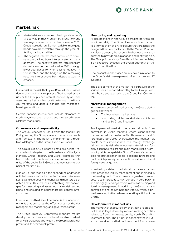### Market risk

- <span id="page-25-0"></span>Market-risk exposure from trading-related ac tivities was primarily driven by client flow and was in general kept at a moderate level in 2021. Credit spreads on Danish callable mortgage bonds have been volatile through the year, affecting trading activities.
- The negative interest rates continued to dominate the banking book interest-rate risk management. The negative interest-rate risk from deposits was further reduced in 2021 through lower boundaries for when paying negative interest rates, and the hedge on the remaining negative interest-rate from deposits was increased.

Market risk is the risk that Jyske Bank will incur losses due to changes in market prices affecting market values or the Group's net interest income. Jyske Bank assumes market risk from position taking in the financial markets and general banking and mortgagebanking operations.

Certain financial instruments include elements of credit risk, which are managed and monitored in parallel with market risk.

#### **Governance and responsibility**

The Group Supervisory Board owns the Market Risk Policy, setting the Group's overall market-risk profile and framework. The policy is implemented through limits delegated to the Group Executive Board.

The Group Executive Board's limits are further restricted and delegated to the three heads of the Jyske Markets, Group Treasury and Jyske Realkredit (first line of defence). The three business units are the sole units of the Jyske Bank Group that may assume significant market risk.

Market Risk and Models is the second line of defence unit that is responsible for the risk framework for market risk and oversees market risks and monitors delegated limits. This includes establishing methodologies for measuring and assessing market risk, setting limits, and ensuring an appropriate risk control infrastructure.

Internal Audit (third line of defence) is the independent unit that evaluates the effectiveness of the risk management, monitoring, and governance setup.

The Group Treasury Committee monitors market developments closely and is therefore able to adjust for any discrepancies between the Group's actual risk profile and its desired risk profile.

#### **Monitoring and reporting**

All risk positions in the Group's trading portfolio are monitored daily. The Group Executive Board is notified immediately of any exposure that breaches the delegated limits or conflicts with the Market Risk Policy. Upon a breach, the responsible business unit is requested to provide an explanation and rectifying plan. The Group Supervisory Board is notified immediately if an exposure exceeds the overall authority of the Group Executive Board.

New products and services are reviewed in relation to the Group's risk management infrastructure and IT systems.

The development of the market-risk exposure of the various units is reported monthly to the Group Executive Board and quarterly to the Group Risk Committee.

#### **Market risk management**

In the management of market risk, the Group distinguishes between:

- Trading-related market risks.
- non-trading-related market risks which are handled by Group Treasury.

Trading-related market risks arise primarily from portfolios in Jyske Markets where client-related transactions drive the risk profile. This means that differentiated portfolios characterize the market-risk profile across interest-rate risk, foreign-exchange risk and equity risk where interest-rate risk and foreign-exchange risk are the main market risks. Commodity risk is hedged daily. Group Treasury is responsible for strategic market-risk positions in the trading book, which primarily consists of interest-rate risk and foreign-exchange risk.

Non-trading-related market-risk exposure arises from asset and liability management and is placed in the banking book. The exposure originates from exposure to interest-rate risk founded in core banking and mortgage-lending activities as well as funding and liquidity management. In addition, the Group holds a portfolio of shares not held for trading, which is primarily relating to the ordinary operating activity of the Group.

#### **Developments in market risk**

The market risk exposure from the trading related activities is in large driven by market-making activities related to Danish mortgage bonds, Nordic FX and investment funds. The FX risk is concentrated in EUR and a diversified portfolio of investment funds drove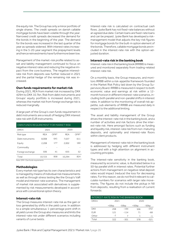the equity risk. The Group has only a minor portfolio of single shares. The credit spreads on danish callable mortgage bonds have been volatile through the year. Narrowed credit spreads decreased the demand for the bonds in the beginning of the year. The demand for the bonds was increased in the last quarter of the year as spreads widened. With interest rates increasing in the 5-20-year segment the prepayment levels and hence reinvestments have furthermore been low.

Management of the market-risk profile related to asset and liability management continued to focus on negative interest rates and reducing the negative impact from the core business. The negative interestrate risk from deposits was further reduced in 2021 and the partial hedge of the remaining risk was increased.

#### **Own funds requirements for market risk**

During 2021, REA from market risk increased by DKK 429m to DKK 10.7bn. Risk from debt instruments and Groups' equity portfolio is increased during 2021, whereas the market risk from foreign exchange risk is reduced marginally.

A large part of the Group's own funds requirement in debt instruments are a result of hedging DKK interest rate risk with EUR instruments.

| OWN FUNDS REQUIREMENT FOR MARKET RISK |            |        |            |        |  |  |  |
|---------------------------------------|------------|--------|------------|--------|--|--|--|
| <b>DKKm</b>                           | 2021       |        | 2020       |        |  |  |  |
| Risk type                             | <b>REA</b> | $OFR*$ | <b>REA</b> | $OFR*$ |  |  |  |
| Debt instruments                      | 8.008      | 641    | 7.637      | 611    |  |  |  |
| Equity                                | 2.208      | 177    | 2.002      | 160    |  |  |  |
| Commodity                             |            |        |            |        |  |  |  |
| Foreign exchange                      | 506        | 41     | 655        | 52     |  |  |  |
| Total                                 | 10.723     | 858    | 10.294     | 824    |  |  |  |
| $N = N - \frac{1}{2}$                 |            |        |            |        |  |  |  |

Note: OFR = Own funds requirements

#### **Methodologies**

Every market risk type has its own characteristics and is managed by means of individual risk measurements as well as through stress testing like the Group's VaR model and interest-rate scenarios. The management of market risk associated with derivatives is supplemented by risk measurements developed in accordance with conventional option theory.

#### **Interest-rate risk**

The Group measures interest-rate risk as the gain or loss generated by shifts in the yield curve. In addition to a simple simultaneous 1-percentage point shift in all yield curves the Group also measures and limits the interest-rate risk under different scenarios including variants of curve twists.

Interest-rate risk is calculated on contractual cash flows. Jyske Bank has not fixed-rate balances without an agreed due date. Certain loans are fixed-rate loans and can be prepaid. Jyske Bank has developed a riskmanagement model that adjusts the key-risk figures for mortgage bonds for the built-in option element of the bonds. Therefore, callable mortgage bonds are included in the interest-rate risk with the option-adjusted duration.

#### **Interest-rate risk in the banking book**

Interest-rate risk in the banking book (IRRBB) is measured and monitored separately from trading-related interest-rate risk.

On a monthly basis, the Group measures, and monitors IRRBB within a risk-appetite framework founded in the Market Risk Policy laid down by the Group Supervisory Board. IRRBB is measured in respect to both economic value and earnings at risk within a 12 month horizon in different interest-rate scenarios, including both parallel and non-parallel shifts in interest rates. In addition to the monitoring of overall risk appetite, sub-elements of IRRBB are measured daily in respect to the additional limiting.

The asset and liability management of the Group drives the interest-rate risk in the banking book, and a number of activities and risk factors drive the interest-rate risk. Here amongst factors such as funding and liquidity risk, interest-rate risk from non-maturing deposits, and optionality and interest-rate floors within client products.

Management of interest-rate risk in the banking book is addressed by hedging with different instrument types and with a high attention on alignment in accounting principles.

The interest-rate sensitivity in the banking book, measured by economic value, is illustrated below in a 50-bp parallel shift in interest rates. Potential further actions from management on negative retail deposit rates would impact (reduce) the loss for decreasing rates. For this reason, we do not find it relevant to calculate numbers for scenarios with larger rate movements. The figures do not include the pickup in NII from deposits, resulting from a realisation of current forwards:

| <b>INTEREST-RATE RISK IN THE BANKING BOOK</b> |         |         |         |         |  |  |  |
|-----------------------------------------------|---------|---------|---------|---------|--|--|--|
| <b>DKKm</b>                                   | 2021    |         | 2020    |         |  |  |  |
|                                               | $+50bp$ | $-50bp$ | $+50bp$ | $-50bp$ |  |  |  |
| <b>DKK</b>                                    | 208     | $-194$  | 506     | $-252$  |  |  |  |
| <b>EUR</b>                                    | 121     | $-114$  | 71      | -68     |  |  |  |
| Other                                         | -7      |         | 1       | -1      |  |  |  |
| Total                                         | 322     | $-301$  | 578     | -321    |  |  |  |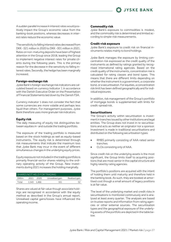

A sudden parallel increase in interest rates would positively impact the Group's economic value from the banking-book positions, whereas decreases in interest rates reduce the economic value.

The sensitivity to falling interest rates decreased from DKK -321 million in 2020 to DKK -301 million in 2021. Rates on non-maturing deposits have been of highest attention in the Group since 2018, leading the Group to implement negative interest rates for private clients during the following years. This is the primary reason for the decrease in the sensitivity to falling interest rates. Secondly, the hedge has been marginally increased.

#### **Foreign-exchange risk**

Jyske Bank's foreign-exchange risk indicators are calculated based on currency indicator 1 in accordance with the Danish Executive Order on the Presentation of Financial Statements laid down by the Danish FSA.

Currency indicator 1 does not consider the fact that some currencies are more volatile and perhaps less liquid than others. For management purposes, Jyske Bank therefore uses more granular risk indicators.

#### **Equity risk**

The daily measuring of equity risk distinguishes between equities in- and outside the trading portfolio.

The exposure of the trading portfolio is measured based on the stock holdings as well as equity-based instruments. The equity risk is determined through risk measurements that indicate the maximum loss that Jyske Bank may incur in the event of different simultaneous changes in the underlying equity prices.

Equity exposure not included in the trading portfolio is primarily financial-sector shares relating to the ordinary operating activity of the Group. New investments during 2021 increases the holding marginally.

| SHARES NOT HELD FOR TRADING |       |       |                 |               |  |  |
|-----------------------------|-------|-------|-----------------|---------------|--|--|
| DKK <sub>m</sub>            | 2021  | 2020  | Unrealised gain | Realised gain |  |  |
| Total                       | 1.543 | 1.466 | 161             |               |  |  |

Shares are valued at fair value though associate holdings are recognised in accordance with the equity method as described in the Group's annual report. Unrealised capital gains/losses have influenced the operating income.

#### **Commodity risk**

Jyske Bank's exposure to commodities is modest, and the commodity risk is determined and limited according to simple-risk measurements.

#### **Credit-risk exposure**

Jyske Bank's exposure to credit risk on financial instruments relates mainly to bond holdings.

Jyske Bank manages the exposure by limiting concentration risk expressed as the credit quality of the instruments as defined by ratings granted by recognised international rating agencies. Based on the credit quality of the instruments, concentration risk is calculated for rating classes and bond types. This means that there are different limits depending on whether the instrument is a government, a corporate bond, or a securitisation. For equities, a concentration risk limit has been defined geographically and for individual exposures.

In addition, risk management of the Group's portfolio of mortgage bonds is supplemented with limits for credit-spread risk.

#### **Securitisations**

The Group's activity within securitisation is investment in tranches issued by other institutions and legal entities. The Group does not invest in re-securitisations and acts as neither an originator nor a sponsor. Investment is made in traditional securitisations and distributed on the following securitisation types:

- RMBS primarily consisting of AAA-rated senior tranches.
- CLOs consisting only of AAA.

Since credit risk on the underlying assets is the most significant, the Group limits itself to acquiring positions that are most senior in the capital structure and highly rated by rating agencies.

The portfolio's positions are acquired with the intent of holding them until maturity and therefore held in the banking book. As such, they are booked at amortised cost though a small amount of legacy positions is at fair value.

The level of the underlying market and credit risks in securitisations is monitored continuously and is analysed at least every quarter. The analyses are based on trustee reports and information from rating agencies or other external sources. The securitisation types and the geographical exposure of the underlying assets of the portfolio are depicted in the table below.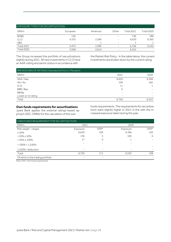#### EXPOSURE TYPES FOR SECURITISATIONS

| <b>DKKm</b>       | European                 | American                 | Other                    | <b>Total 2021</b> | <b>Total 2020</b> |
|-------------------|--------------------------|--------------------------|--------------------------|-------------------|-------------------|
| <b>RMBS</b>       | 136                      | $\overline{\phantom{0}}$ |                          | 136               | 186               |
| <b>CLO</b>        | 4,335                    | 2,284                    |                          | 6,620             | 6,365             |
| ABS               | $\overline{\phantom{0}}$ |                          | $\overline{\phantom{a}}$ |                   |                   |
| <b>Total 2021</b> | 4.472                    | 2,285                    |                          | 6,756             | 6,552             |
| <b>Total 2020</b> | 3.938                    | 2,614                    | -                        | 6,552             |                   |

The Group increased the portfolio of securitizations slightly during 2021. All new investments in CLO have an AAA-rating and senior status in accordance with

the Market Risk Policy. In the table below, the current investments are broken down by the current rating.

| BREAKDOWN OF RATINGS (Standard & Poor's / Moody's) |       |       |
|----------------------------------------------------|-------|-------|
| <b>DKKm</b>                                        | 2021  | 2020  |
| AAA / Aaa                                          | 6,620 | 6,366 |
| AA/Aa                                              | 109   | 185   |
| A/A                                                | 11    |       |
| BBB / Baa                                          | 0     |       |
| BB/Ba                                              |       |       |
| Lower or no rating                                 |       |       |
| Total                                              | 6,756 | 6,552 |

#### **Own funds requirements for securitisations**

Jyske Bank applies the external ratings-based approach (SEC-ERBA) for the calculation of the own

funds requirements. The requirements for securitisations were slightly higher in 2021 in line with the increased exposure taken during the year.

| OWN FUNDS REQUIREMENT FOR SECURITISATIONS |                          |                          |          |        |
|-------------------------------------------|--------------------------|--------------------------|----------|--------|
| <b>DKKm</b>                               | 2021                     |                          | 2020     |        |
| Risk weight - ranges                      | Exposure                 | $OFR*$                   | Exposure | $OFR*$ |
| $\leq 20\%$                               | 6,620                    | 106                      | 6,366    | 102    |
| $> 20\% \le 50\%$                         | 136                      | 5                        | 185      | 6      |
| $> 50\% \le 100\%$                        | 17                       | 0                        |          |        |
| $>100\% < 1.250\%$                        |                          |                          |          |        |
| 1,250% / deduction                        |                          |                          |          |        |
| Total                                     | 6.756                    | 111                      | 6,552    | 108    |
| Of which in the trading portfolio         | $\overline{\phantom{0}}$ | $\overline{\phantom{0}}$ |          |        |
|                                           |                          |                          |          |        |

Note: OFR = Own funds requirements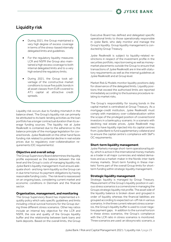

### <span id="page-29-0"></span>Liquidity risk

- During 2021, the Group maintained a very high degree of excess coverage in terms of the stress-based internally delegated limits and guidelines.
- For the regulatory liquidity measures LCR and NSFR the Group also maintained a high excess coverage to both internal delegated limits and to a very high extend the regulatory limits.
- During 2021, the Group took advantage of the constructive market conditions to issue five public bonds in all asset classes from EUR covered to AT1 capital at attractive credit spreads.

Liquidity risk occurs due to funding mismatch in the balance sheet. The Group's liquidity risk can primarily be attributed to its bank-lending activities as the loan portfolio has a longer contractual duration than its average funding sources. The liquidity risk at Jyske Realkredit is contained due to the adherence to the balance principle of the mortgage legislation for covered bonds. Jyske Realkredit on the other hand faces funding risk related to potential decline in real estate prices due to regulatory over-collateralisation requirements (OC requirements).

#### **Objective and overall setup**

The Group Supervisory Board determines the liquidity profile expressed as the balance between the risk level and the Group's costs of managing liquidity risk. Jyske Bank's liquidity management must ensure adequate short- and long-term liquidity so the Group can in due time honour its payment obligations by having reasonable funding costs. The risk level is reassessed on an ongoing basis, considering current market and economic conditions in Denmark and the financial sector.

#### **Organisation, management, and monitoring**

The Group Supervisory Board has implemented a liquidity policy which sets specific guidelines and limits including critical survival horizons for the Group during three different stress scenarios. Other key ratios include an internal key objective for the LCR and NSFR, the size and quality of the Groups liquidity buffer and the relationship between bank loans and bank deposits. Based on the overall limits, the Group

Executive Board has defined and delegated specific operational limits to those operationally responsible in Jyske Bank, who daily monitor and manage the Group's liquidity. Group liquidity management is conducted by Group Treasury.

Jyske Realkredit is subject to liquidity-related restrictions in respect of the investment profile in the securities portfolio, repo borrowing as well as moneymarket placements outside the Group to ensure that transactions of Jyske Realkredit are in line with statutory requirements as well as the internal guidelines at Jyske Realkredit and at Group level.

Market Risk & Models monitor liquidity positions daily for observance of the delegated limits. Liquidity positions that exceed the authorised limits are reported immediately according to the business procedure relating to market risks.

The Group's responsibility for issuing bonds in the capital market is centralised at Group Treasury. As a mortgage-credit institution, Jyske Realkredit must comply with mandatory over-collateralization within the scope of the privileged position of covered bond investors in a bankruptcy scenario. In a scenario with declining real estate prices, Jyske Realkredit may need to have liquidity injected into its capital centres from Jyske Bank to fund supplementary collateral and to ensure the capital centre's compliance with S&P's OC requirements.

#### **Short-term liquidity management**

Jyske Markets manage short-term operational liquidity, which is active in the international money markets as a trader in all major currencies and related derivatives and as a market-maker in the Nordic inter-bank money markets. Short-term funding in these markets' forms part of the overall Group limits for shortterm funding within strategic liquidity management.

#### **Strategic liquidity management**

Strategic liquidity is managed by Group Treasury. Measurement of the Group's liquidity position in various stress scenarios is a cornerstone in managing the Groups strategic liquidity risk profile. The asset side of the liquidity balance is broken down and grouped in order of liquidity whereas the financial liabilities are grouped according to expected run-off risk in various scenarios. In the three current relevant stress scenarios, the Group's liquidity buffer is used to cover negative payment gaps. In addition to the survival horizon in these stress scenarios, the Group's compliance with the LCR ratio in stress scenarios is monitored. Three scenarios are used: an idiosyncratic scenario, a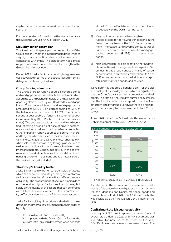capital market/recession scenario and a combination scenario.

For more detailed information on the stress scenarios used, see the Group's Annual Report 2021.

#### **Liquidity contingency plan**

The liquidity contingency plan comes into force if the Group can only meet the internally delegated limits at very high costs or is ultimately unable to come back to compliance with limits. The plan determines a broad range of initiatives that can be used to strengthen the Group's liquidity position.

During 2021, Jyske Bank had a very high degree of excess coverage in terms of the stress-based internally delegated limits and guidelines.

#### **Group funding structure**

The Group's largest funding source is covered bonds and mortgage bonds issued by Jyske Realkredit which according to the balance principle of the Danish mortgage legislation fund Jyske Realkredits mortgage loans. Total covered bonds and mortgage bonds amounted to DKK 340 bn corresponding to 53% of the balance sheet at the end of 2021. The Group's second largest source of funding is customer deposits representing DKK 117 bn (18 % of the balance sheet). The deposit base is granular and well-diversified reflecting a broad client base of private customers as well as small and medium-sized companies. Other important funding sources are primarily shortand long-term bonds issued in the international capital markets. In addition, Jyske Markets funds its own wholesale-related activities by taking up unsecured as well as secured loans in the wholesale fixed-term and interbank markets. Continuous activity in the abovementioned markets enhances the possibility of refinancing short-term positions and is a natural part of the business of Jyske Markets.

#### **The Group's liquidity buffer**

Jyske Bank's liquidity buffer consists solely of assets which can be sold immediately or pledged as collateral for loans and are therefore a swift and efficient source of liquidity. The procurement of secured funding does not depend on Jyske Bank's creditworthiness, but solely on the quality of the assets that can be offered as collateral. The measurement of the Group's liquidity buffer considers haircuts of the relevant assets.

Jyske Bank's holding of securities is divided into three groups in the internal liquidity management in order of liquidity:

1) Ultra-liquid assets (intra-day liquidity) Assets placed with the Danish Central Bank or the ECB with intra-day liquidity effect: Cash deposits

at the ECB or the Danish central bank, certificates of deposit with the Danish central bank.

- 2) Very liquid assets (central bank eligible) Assets eligible for borrowing transactions in the Danish central bank or the ECB: Danish government-, mortgage-, and covered bonds, as well as European covered bonds, residential mortgagebacked securities (RMBS) and government bonds.
- 3) Non-central bank eligible assets: Other negotiable securities with a longer realisation period. Securities in this group consist primarily of assets denominated in currencies other than DKK and EUR as well as emerging-market bonds, corporate and structured bonds, and equities.

Jyske Bank has adopted a general policy for the size and quality of its liquidity buffer, which is adjusted to suit the Group's balance-sheet composition and risk profile. In practice, the liquidity buffer policy implies that the liquidity buffer consists predominantly of assets from liquidity groups 1 and 2 as there is a high degree of consistency to the requirements for LCR-reserves.

At end-2021, the Group's liquidity buffer amounted to DKK 95bn compared to DKK 102bn end-2020.



Not central bank eligible Very liquid Ultra liquid

As reflected in the above chart the reserve consists mainly of ultra-liquid or very liquid assets such as central bank deposits and Danish mortgage bonds and covered bonds. End of 2021 DKK 85 bn of the buffer was eligible at either the Danish Central Bank or the ECB.

#### **Capital markets & issuance activity**

Contrary to 2020, credit spreads remained low and overall stable during 2021, and risk sentiment was supportive for new issues for most of the year. COVID-19 was only a minor sentiment driver. The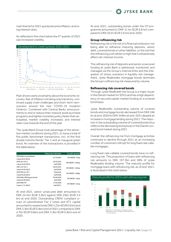main theme for 2021 quickly became inflation, and rising interest rates.

As reflected in the chart below the 4<sup>th</sup> quarter of 2021 saw increased volatility.



Main drivers were uncertainty about the economic recovery, fear of inflation not being only transitory, continued supply chain challenges and short-term nervousness around the new COVID-19 mutation Omikron. Combined with Central Banks announcements to end or reduce their massive asset purchase programs and tighten monetary policy faster than anticipated, market volatility increased, and interest rates rose towards the end of the year

The Jyske Bank Group took advantage of the attractive market conditions during 2021, to issue a total of five public benchmark transactions, incl. of the first double tranche Nordic Tier 2 and an inaugural green bond. An overview of the transactions is provided in the table below:

|                           | Maturity/call date | Credit spread     |
|---------------------------|--------------------|-------------------|
| EUR 500m covered bond     | 01.10.2027         | 3M CIBOR - 10 bp  |
| (value 20.01.2021)        |                    |                   |
| NOK 1bn Tier 2            | 26.03.2031         | 3M CIBOR + 100 bp |
| (value 24.03.2021)        | (call 2026)        |                   |
| SEK 1 bn Tier 2           | 26.03.2031         | 3M CIBOR + 100 bp |
| (value 24.03.2021)        | (call 2026)        |                   |
| EUR 200 mio. AT1          | Perpetual          | 3M CIBOR + 350bp  |
| (value 04.06.2021)        | (call 2028)        |                   |
| EUR 500m NPS (green bond) | 02.09.2026         | 3M CIBOR + 30 bp  |
| (value 02.09.2021)        | (call 2025)        |                   |
| <b>EUR 500m PS</b>        | 17.02.2028         | 3M CIBOR + 25 bp  |
| (value 17.11.2021)        | (call 2027)        |                   |

At end-2021, senior unsecured debt amounted to DKK 24.1bn (EUR 3.2bn) against DKK 25bn (EUR 3.4 bn) at end-2020. Outstanding CRDIV compliant issues of subordinated Tier 2 notes and AT1 capital amounted to respectively DKK 5.2 bn (EUR 0.6 bn) and DKK 3.3bn (EUR 0.4bn) end of 2021 compared to DKK 4.7bn (EUR 0.6bn) and DKK 3.3bn (EUR 0.4bn) end of 2020.

At end-2021, outstanding bonds under the CP programme amounted to DKK 51 bn (EUR 6.8 bn) compared to DKK 42 bn (EUR 5.6 bn) end-2020.

#### **Group refinancing risk**

Refinancing risk is the risk of a financial institution not being able to refinance maturing deposits, senior debt, covered bonds or other liabilities, or the risk that the refinancing cost will be so high that it will adversely affect net-interest income.

The refinancing risk of deposits and senior unsecured funding at Jyske Bank is addressed, monitored, and managed via the Group's internal limits and the integration of stress scenarios in liquidity-risk management. Jyske Realkredits mortgage bonds dominate the Group's refinancing risk measured by volume.

#### **Refinancing risk covered bonds**

Through Jyske Realkredit the Group is a major issuer in the Danish market for SDOs and has a high dependency on secured capital-market funding on a covered bond basis.

Jyske Realkredits outstanding volume of covered bonds and mortgage bonds decreased from DKK 346 bn at end-2020 to DKK 344bn at end-2021 despite an increase in mortgage lending during 2021. The reduction in the outstanding volume of covered bonds thus reflects the decreasing bond prices in the Danish covered bond market during 2021.

Overall, the refinancing risk from mortgage activities continued to decline through 2021 as an increasing number of customers still opt for long fixed rate callable mortgages.

Long fixed-rate callable covered bonds have no refinancing risk. The proportion of loans with refinancing risk amounts to DKK 197.3bn and 58% of Jyske Realkredits lending volume. The maturity profile for mortgage loans with refinancing risk, as of end-2021, is illustrated in the chart below.

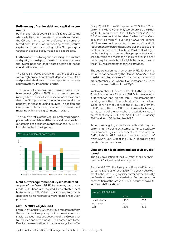#### **Refinancing of senior debt and capital instruments**

Refinancing risk at Jyske Bank A/S is related to the wholesale fixed-term market, the interbank market, the CP and the market for preferred and non-preferred debt. In addition, refinancing of the Group's capital instruments according to the Group's capital targets and capital policy must also be addressed.

Furthermore, monitoring and assessing the structure and quality of the deposit base is imperative to assess the overall need for longer-dated funding to hedge overall refinancing risk.

The Jyske Bank Group has a high-quality deposit base with a high proportion of small deposits from SMEs and private individuals and "core deposits" represents approximately 71% of bank lending.

The run-off of wholesale fixed-term deposits, interbank deposits, CP and EMTN issues is monitored and managed via the use of stress scenarios to make sure that the Group does not become structurally dependent on these founding sources. In addition, the Group has limitations on the amount of senior debt maturing within a rolling 12- month horizon.

The run-off profile of the Group's preferred and nonpreferred senior debt and the issuer call date profile of outstanding capital instruments as of end-2021 is illustrated in the following chart.



#### **Debt buffer requirement at Jyske Realkredit**

As part of the Danish BRRD framework, mortgagecredit institutions are required to establish a debt buffer equal to 2% of their total (unweighted) mortgage lending to facilitate a more flexible resolution process.

#### **MREL & MREL eligible debt**

From 1st of January 2022 the Group requirement that the sum of the Group's capital instruments and bailinable liabilities must be above 8 % of the Group's total liabilities and own funds (TLOF) comes into force. Due to the reactivation of the countercyclical buffer ("CCyB") at 1 % from 30 September 2022 the 8 % requirement will, however, only temporarily be the binding MREL requirement. On 31 December 2022 the CCyB requirement will be raised further to 2 %. Consequently, as from  $4<sup>th</sup>$  quarter of 2022, the general MREL requirement consisting of the sum of the MREL requirement for banking activities plus the capital and debt buffer requirement in Jyske Realkredit will again be the binding requirement. Group capital that is utilized towards the mortgage bank's capital and debt buffer requirements is not eligible to count towards the MREL requirement for banking activities.

The subordination requirement for MREL for banking activities has been set by the Danish FSA at 27.3 % of the risk weighted exposure for banking activities until 30 September 2022 where it will increase to 28.3 % due to the reactivation of the CCyB.

Implementation of the amendments to the European Crisis Management Directive (BRRD II), introduced a subordination cap on the MREL requirement (for banking activities). The subordination cap allows Jyske Bank to meet part of the MREL requirement with PS debt. The total MREL requirement for banking activities incl. of the non-subordinated allowance will be respectively 31.3 % and 32.3 % from 1 January 2022 and from 30 September 2022.

To ensure ongoing compliance with statutory requirements, including an internal buffer to statutory requirements, Jyske Bank expects to have approx. DKK 18-20bn MREL eligible debt instruments, of which DKK 4-5bn PS debt and DKK 14-15bn NPS debt outstanding in the market.

#### **Liquidity risk legislation and supervisory diamond**

The daily calculation of the LCR ratio is the key shortterm limit for liquidity risk management.

As of end-2021, the Group's LCR was 448% compared to 339% as of end-2020. The yearly development in the underlying liquidity buffer and net liquidity outflow is shown in the table below. Furthermore, the composition of the Group's LCR buffer net of haircuts as of end-2021 is shown:

| Group LCR 2020-2021 |       |       |
|---------------------|-------|-------|
|                     | 2020  | 2021  |
| Liquidity buffer    | 110.6 | 106.3 |
| Net outflow         | 32.7  | 23.7  |
| I CR                | 339%  | 448%  |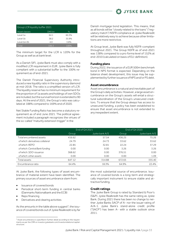

| Group LCR liquidity buffer 2021 |        |       |
|---------------------------------|--------|-------|
| Asset classes                   | DKK bn | $\%$  |
| Level 1a                        | 64.1   | 60.3% |
| Level 1 <sub>b</sub>            | 38.2   | 35.9% |
| Level 2a+2b                     | 4.0    | 3.8%  |
| Total                           | 106.3  | 100%  |

The minimum target for the LCR is 120% for the Group as well as at bank level.

As a Danish SIFI, Jyske Bank must also comply with a modified LCR requirement in EUR. Jyske Bank is fully compliant with a substantial buffer to the 100% requirement as of end-2021.

The Danish Financial Supervisory Authority introduced a new liquidity ratio in the supervisory diamond at mid-2018. The ratio is a simplified version of LCR. The liquidity reserve has no minimum requirement for the proportion of 1a assets and holdings of own SDOs are included, but the survival horizon is extended to 90 days. At the end of 2021, the Group's ratio was calculated at 188% compared to 169% end of 2020.

Net Stable Funding Ratio has become a statutory requirement as of end June 2021. The political agreement included a paragraph recognizes the virtues of the so-called "maturity extension trigger" in the

Danish mortgage bond legislation. This means, that as all bonds will be "closely related to the loans" ("regulatory match") NSFR compliance at Jyske Realkredit will be relatively easy to achieve because other limitations are more restrictive.

At Group level, Jyske Bank was fully NSFR-compliant throughout 2021. The Group NSFR as of end-2021 was 138% compared to a pro forma level of 152% at end-2010 (calculated on basis of EU-definition).

#### **Funding plans**

During 2022, the issuance of a EUR 500m benchmark bond in NPS format is expected. Depending on the balance sheet development, this issue may be supplemented by further issuance of NPS and/or PS debt.

#### **Asset encumbrance**

Asset encumbrance is a natural and inevitable part of the Group's daily activities. However, a large asset encumbrance on the Group's assets will entail a structural subordination of the Group's unsecured creditors. To ensure that the Group always has access to unsecured funding, a policy has been established to ensure that asset encumbrance is not extended to any inexpedient extent.

|                                  |        | End of Q4 2021 |        | End of Q4 2020 |
|----------------------------------|--------|----------------|--------|----------------|
|                                  | Group  | Jyske bank A/S | Group  | Jyske bank A/S |
| Total encumbered assets          | 416.62 | 57.54          | 436.25 | 75.26          |
| of which: derivatives collateral | 24.79  | 24.73          | 33.62  | 33.62          |
| of which: REPO                   | 22.85  | 32.81          | 22.24  | 37.29          |
| of which: Central Bank funding   | 0.00   | 0.00           | 3.26   | 3.26           |
| of which: SDO-issuance           | 368.62 | 0.00           | 376.51 | 0.00           |
| of which: other assets           | 0.00   | 0.00           | 0.00   | 1.09           |
| Total assets                     | 647.12 | 314.88         | 672.65 | 335.40         |
| Encumbrance ratio                | 64.4%  | 18.3%          | 64.9%  | 22.4%          |

At Jyske Bank, the following types of asset encumbrance of material extent have been identified. The primary sources of asset encumbrance stem from:

- Issuance of covered bonds
- Periodical short-term funding in central banks (Danmarks Nationalbank and the ECB)
- Repo financing
- Derivatives and clearing activities

As the amounts in the table above suggest<sup>3</sup>, the issuance of covered bonds out of Jyske Realkredit is by far the most substantial source of encumbrance. Issuance of covered bonds is a long-term and strategically important instrument to ensure stable and attractive funding.

#### **Credit ratings**

The Jyske Bank Group is rated by Standard & Poor's (S&P). Jyske Realkredit has the same rating as Jyske Bank. During 2021 there has been no change to neither Jyske Banks SACP of A- nor the issuer rating of A/A-1. Jyske Bank's stand-alone credit profile ("SACP") has been A- with a stable outlook since 2011.

<sup>&</sup>lt;sup>3</sup> Asset encumbrance is specified in further detail according to the requirements as per the CRR on investor.jyskebank.com/investorrelations/capitalstructure.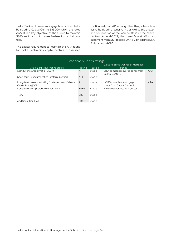Jyske Realkredit issues mortgage bonds from Jyske Realkredit's Capital Centre E (SDO), which are rated AAA. It is a key objective of the Group to maintain S&P's AAA rating for Jyske Realkredit's capital centres.

The capital requirement to maintain the AAA rating for Jyske Realkredit's capital centres is assessed continuously by S&P, among other things, based on Jyske Realkredit's issuer rating as well as the growth and composition of the loan portfolio at the capital centres. At end-2021, the *overcollateralization* requirement from S&P totalled DKK 8.2 bn against DKK 8.4bn at end-2020.

|                                                                               |                | Standard & Poor's ratings | Jyske Realkredit ratings of Mortgage                    |            |
|-------------------------------------------------------------------------------|----------------|---------------------------|---------------------------------------------------------|------------|
| Jyske Bank issuer rating profile                                              | rating         | outlook                   | bonds                                                   |            |
| Stand Alone Credit Profile (SACP)                                             | $A -$          | stable                    | CRD-compliant covered bonds from<br>Capital Center E    | AAA        |
| Short term unsecured rating (preferred senior)                                | $A-1$          | stable                    |                                                         |            |
| Long-term unsecured rating (preferred senior)/Issuer<br>Credit Rating ("ICR") | $\overline{A}$ | stable                    | UCITS-compliant mortgage<br>bonds from Capital Center B | <b>AAA</b> |
| Long-term non-preferred senior ("NPS")                                        | BBB+           | stable                    | and the General Capital Center                          |            |
| Tier 2                                                                        | <b>BBB</b>     | stable                    |                                                         |            |
| Additional Tier 1 (AT1)                                                       | $BB+$          | stable                    |                                                         |            |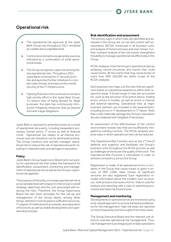

### <span id="page-35-0"></span>Operational risk

#### The operational risk exposure at the Jyske Bank Group has throughout 2021 remained at a stable and acceptable level.

- Control environments are generally sound as indicated by a continuation of small operational losses.
- The Group recognizes cyber risk among the top operational risks. Throughout 2021, Jyske Bank continued its IT security activities and launched further initiatives to combat cyber threats and improve the overall security of the IT infrastructure.
- Fighting financial crime continues to remain a high priority effort in the Jyske Bank Group. To reduce risks of being abused for illegal purposes, the bank has continuously introduced mitigating measures that go beyond the bank's legal obligations.

Jyske Bank is exposed to potential losses as a result of operational risk events, including inexpedient processes, human errors, IT errors as well as financial crime. Operational risk relates to all internal processes and can therefore not be eliminated entirely. The Group monitors and actively manages operational risk to reduce the risk of operational events resulting in material losses and damage to reputation.

#### **Policy**

Jyske Bank's Group Supervisory Board sets out a policy for operational risk that states the framework for identification, assessment, monitoring, and management of operational risk as well as the Group's operational risk appetite.

The purpose of the policy is to keep operational risk at an acceptable level with respect to the Group's overall strategic objectives and the cost associated with reducing the risks. Therefore, the Group Supervisory Board has laid down principles for the set-up and management of the Group where, among other things, attention must be paid to sufficient resources, IT support of material work processes, due separation of functions as well as stable development and operational processes.

#### **Risk identification and assessment**

The primary ways in which risks are identified and assessed in the Group are via risk and control self-assessments (RCSA) conducted in all business units, and analysis of historical losses and near misses. Further, scenario analysis of tail-risk events strengthens the ability to manage operational risk effectively in the Group.

RCSA-analyses chart the Group's operational risks by analysing central processes and events that could cause losses. All risk events that may cause losses of more than DKK 100,000 are within scope of the RCSA-analyses.

Each business unit maps out the risks that are significant based on substantial experience within their respective areas. A broad range of risks are accounted for, such as the provision of incorrect advice, trading errors, errors in models, as well as errors in internal and external reporting. Operational risks at major business partners are included in the assessments, including errors in IT development or IT failure. Risks that could materially damage the Group's reputation are also analysed and mitigated, if necessary.

An assessment of the effectiveness of the control environment reveals risks that are insufficiently mitigated by existing controls. The RCSA-analyses propose ways in which operational risks can be reduced.

The Operational Risk Function acts as the 2<sup>nd</sup> line of defence and supports and facilitates the Group's business units throughout the RCSA process as well as challenges and ensures the quality of the work. The Operational Risk Function is centralised, in order to achieve consistency across the Group.

Registration is made of all operational errors or incidents in the Group that cause losses or gains in excess of DKK 5,000. Near misses of significant amounts are also registered. Each registration includes information about the incident such as product, work process and cause of error. Data is used for analysis and reporting with a view to optimising processes and reducing future losses.

#### **Management and monitoring**

Developments in operational risk are monitored using a risk-based approach to ensure the best possible basis for risk management. High risk areas are reported on more frequently and thoroughly than other areas.

The Group Executive Board and the relevant unit directors oversee operational risk management. Thus, risk management is an integral part of daily operations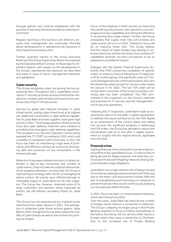through policies and controls established with the purpose of securing the best possible processing environment.

Regular reporting to the business unit directors, ensures that management are continually informed about developments in operational risk exposure in their respective business units.

Further, quarterly reports to the Group Executive Board and the Group Supervisory Board are prepared by the Operational Risk Function. In these reports, important aspects with respect to the development in the Group's operational risk exposure are described and areas in need of senior management attention are highlighted.

#### **Cyber security**

The Group recognizes cyber risk among the top operational risks. Throughout 2021, Jyske Bank continued its IT security activities and launched further initiatives to combat cyber threats and improve the overall security of the IT infrastructure.

Spurred by global and national increases in cyber threat trends, stating cyber threat level at its highest yet, additional investments in cyber defense capabilities at Jyske Bank and main suppliers were given high priority in 2021. Technology adoption of best practice tools and cyber defense methods were initiated to provide further leverage to cyber defense capabilities. This resulted in our Security Operation Centre being awarded the TF CSIRT accreditation 2021 which only a handful of companies hold in Denmark. In 2021 the focus has been on maintaining a high level of proficiency and efficiency among our resources and staying alert and proactive on any movements in the threat landscape.

While the Group sees multiple indicators of attack attempts in day-to-day monitoring and combat of cyber events, it has not seen any sophisticated and directly targeted attempts– proving that the Group is maintaining its strategy well in terms of managing the attack surface. No events have inflicted damage or noticeable impact at Jyske Bank nor its main suppliers. The Group has, however, observed some of its large customers and partners being impacted by events, yet still without cascading impact on Jyske Bank.

The Group has not experienced any material losses stemming from cyber-attacks in 2021. The anticipation is moderate cyber threat activity against Jyske Bank in 2022, though the Group does realize the volatility of cyber threats as well as the motives for pointing out targets.

Focus of the initiatives in 2022 remains on improving the overall security posture, with special focus on leveraging recovery capabilities and raising the efficiency in recovering from cyber impact. Further, the Group anticipates that supply chain risks will increase, and cyber events will occur in 2022. Therefore, focus will be on reducing these risks. The Group realizes that the nature of cyber threats may develop in unknown directions and the fact that it must enhance IT capabilities and train recovery procedures to be as prepared as possible for impact.

Dialogue with the Danish Financial Supervisory Authority (the FSA) concerning completion of specific orders on areas to improve following an IT inspection in 2016, is still ongoing. One significant order on IT Security Management was confirmed closed in 2021 and the remaining orders except for one are under review for closure in H1 2022. The last FSA order will be closed when a new test of the Group's business continuity plan has been completed. The FSA commented in the inspection on the Group's methods and practices for IT security and risk management – not its security operations.

Following this IT inspection, Jyske Bank made an extraordinary add-on to the pillar 2 capital requirement to address the issues pointed out by the FSA. Based on an assessment of the current status and taking into account the significant progress in addressing the FSA orders, the Group has decided to reduce the extraordinary add-on to the pillar 2 capital requirement to roughly half the original amount, applicable from Q4 2021.

#### **Financial crime**

Fighting financial crime continues to remain a high priority effort in the Jyske Bank Group. To reduce risks of being abused for illegal purposes, the bank has continuously introduced mitigating measures that go beyond the bank's legal obligations.

Jyske Bank runs a high inherent risk of being misused for money laundering purposes and terrorist financing due to the bank's size and business volume. With the aim of strengthening and improving our measures to prevent financial crime, we are continuously analysing our risk exposure within the area.

In 2021, focus has been on several special initiatives, which will continue into 2022:

Over the years, Jyske Bank has reduced the number of foreign clients without a connection to Denmark. The Group is adapting its target group in the Private Banking segment to focus on Danes living abroad. In the future, the Group will not service other clients in Europe unless they have a connection to Denmark. Due to the increased risk of Private Banking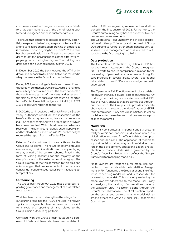

customers as well as foreign customers, a special effort has been launched with the aim of raising customer due diligence on these customer groups.

To ensure that employees are able to identify potentially suspicious behaviour, suspicious transactions and to take appropriate action, training of employees is carried out on an ongoing basis. From 2021 the bank has chosen to develop the AML training in house in order to target the individual needs of the different employee groups to a higher degree. The training program has been launched continuously in 2021.

In December 2020 the bank lowered the ATM withdrawal and deposit limits. This initiative has resulted in a high decrease in the flow of cash in the Bank.

During 2021, monitoring of clients and transactions triggered more than 25,000 alerts. Alerts are handled manually by a centralized team. The team conducts a thorough investigation of the alerts and assesses if the alert gives rise to suspicion and must be reported to the Danish Financial Intelligence Unit (FIU). In 2021 3,335 cases were reported to the FIU.

In 2020, the bank received the Danish Financial Supervisory Authority's report on the inspection of the bank's anti-money laundering transaction monitoring. The report contained two orders, both of which have been resolved. With this, all previous orders are resolved. The bank is continuously under supervision and has also had an inspection in 2021, but has not yet received the report from the Danish FSA.

External fraud continues to pose a threat to the Group and its clients. The nature of external fraud is ever evolving as criminals find inventive ways of trying to stay ahead of the control scheme. Fraud in the form of vishing accounts for the majority of the Group's losses in the external fraud category. The Group is aware of the threat related to this area and acknowledges that improvements in controls are constantly needed to keep losses from fraudulent attempts at bay.

#### **Outsourcing**

The Group has throughout 2021 made progress regarding governance and management of risks related to outsourcing.

Work has been done to strengthen the integration of outsourcing risks into the RCSA-analyses. Moreover, significant progress has been achieved with respect to analysis and reporting of risks related to the Group's main outsourcing partners.

Contracts with the Group's main outsourcing partners, JN Data and Bankdata, have been updated in order to fulfil new regulatory requirements and will be signed in the first quarter of 2022. Furthermore, the Group's outsourcing policy has been updated to meet new regulatory requirements.

The Operational Risk Function works in close collaboration with Group IT Security and the Head of Group Outsourcing to further strengthen identification, assessment and management of risks related to outsourcing in the Group going into 2022.

#### **Data protection**

The General Data Protection Regulation (GDPR) has received much attention in the Group throughout 2021. Efforts to ensure compliance in relation to the processing of personal data have resulted in significant progress in several areas. Overall operational risks related to the GDPR are acknowledged and wellunderstood.

The Operational Risk Function works in close collaboration with the Group's Data Protection Officer (DPO) to strengthen the integration of risks related to GDPR into the RCSA-analyses that are carried out throughout the Group. The Group's DPO provides concrete observations to support the identification of GDPR risks before each RCSA-analysis is initiated, as well as contributes to the review and quality-assurance process of the analysis.

#### **Model risk**

Model risk constitutes an important and still growing risk type within non-financial risk, due to an increase in digitalization and need for efficient data-driven processes and decisions. The application of models to support decision making may result in risk due to errors in the development, operationalization, and application of models. Model risk is governed by the Group's Model Risk Policy, which defines the Group's framework for managing model risk.

Model owners are responsible for model risk connected to their models, while the Model Risk Management (MRM) function is the Group's second line of defense concerning model risk and is responsible for overseeing model risk. This is done by reviewing the model owners' adherence to the Model Risk Policy and analysing the handling of observations made by the validation unit. The latter is done through the Group's model database. The MRM function reports on the status and development in model risk to among others the Group's Model Risk Management Committee.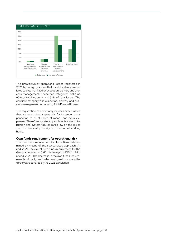

The breakdown of operational losses registered in 2021 by category shows that most incidents are related to external fraud or execution, delivery and process management. These two categories make up 90% of total incidents and 91% of total losses. The costliest category was execution, delivery and process management, accounting for 61% of all losses.

The registration of errors only includes direct losses that are recognised separately, for instance, compensation to clients, loss of means and extra expenses. Therefore, a category such as business disruption and system failures ranks low on the list as such incidents will primarily result in loss of working hours.

#### **Own funds requirement for operational risk**

The own funds requirement for Jyske Bank is determined by means of the standardised approach. At end-2021, the overall own funds requirement for the Group amounted to DKK 1,144m against DKK 1,174m at end-2020. The decrease in the own funds requirement is primarily due to decreasing net income in the three years covered by the 2021 calculation.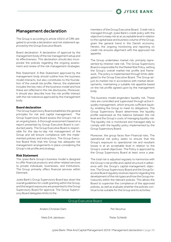

### <span id="page-39-0"></span>Management declaration

The Group is according to article 435(1) of CRR obligated to provide a declaration and risk statement approved by the Group Executive Board.

Board declaration: A declaration of approval by the management body of the risk management setup and its effectiveness. This declaration should also incorporate the policies regarding the ongoing assessment and review of the risk management strategies.

Risk Statement: A Risk Statement approved by the management body should outline how the business model interacts, but also constitutes to the foundation of the overall risk profile. Hence, the statement includes the key risks of the business model and how these are reflected in the risk disclosures. Moreover, it should also describe how the risk profile interact with the risk tolerance approved by the management body.

#### **Board declaration**

The Group Supervisory Board establishes the general principles for risk and capital management. The Group Supervisory Board assess the Group's risk on an ongoing basis. A thorough assessment based on a report presented by Group Executive Board is conducted yearly. The Group Executive Board is responsible for the day-to-day risk management of the Group and will ensure compliance with the implemented policies and instructions. The Group Executive Board finds that the Group has adequate risk management arrangements in place considering the Group's risk profile and strategy.

#### **Risk Statement**

The Jyske Bank Group's business model is designed to offer financial products and other related services to private individuals, businesses, and institutions. The Group primarily offers financial services within Denmark.

Jyske Bank's Group Supervisory Board lays down the overall guidelines for credit granting within the Group, and the largest exposures are presented to the Group Supervisory Board for approval. The Group Supervisory Board delegates limits to the

members of the Group Executive Board. Credit risk is managed through Jyske Bank's credit policy with the objective to keep risk at an acceptable level in relation to the capital base and business volume of the Group, given the general trend in the Danish economy. Hereto, the ongoing monitoring and reporting on credit risk ensures alignment with the approved risk appetite.

The Group undertakes market risk, primarily represented by interest-rate risk. The Group Supervisory Board is responsible for the Market Risk Policy, setting the Group's overall market-risk profile and framework. The policy is implemented through limits delegated to the Group Executive Board. The Group adjust its market risk in accordance with market developments, maintaining a suitable risk appetite based on the risk profile agreed upon by the management body.

The business model engenders liquidity risk. These risks are controlled and supervised through active liquidity management, which ensures sufficient liquidity, enabling the Group to meet its obligations. The Group Supervisory Board determines the liquidity profile expressed as the balance between the risk level and the Group's costs of managing liquidity risk. The liquidity risk is monitored and managed daily to comply with the liquidity policy implemented by the Group Supervisory Board.

Moreover, the group faces Non-Financial risks. The operational risk policy seeks to ensure that the Group's exposure to operational risk and resultant losses is at an acceptable level in relation to the Group's overall objectives. The Policy is approved by the Group Supervisory Board at least once a year.

The total risk is adjusted regularly to harmonize with the Group's risk profile and capital structure in adherence with the Group's capital-management objective. The Group Supervisory Board and the Group Executive Board regularly receives reports regarding the development of the risk types and how the Group manoeuvres within the relevant policies. This allows the Board to supervise the compliance of the approved policies, as well as evaluate whether the policies continue to be suitable for the Group and its activities.

#### Group Executive Board

Anders Christian Dam **Per Skovhus** 

Niels Erik Jakobsen Peter Schleidt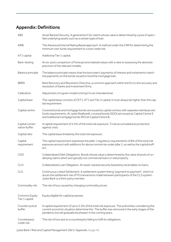## <span id="page-40-0"></span>Appendix: Definitions

| ABS                              | Asset Backed Security. A general term for claims whose value is determined by a pool of speci-<br>fied underlying assets such as a certain type of loan.                                                                                                      |
|----------------------------------|---------------------------------------------------------------------------------------------------------------------------------------------------------------------------------------------------------------------------------------------------------------|
| <b>AIRB</b>                      | The Advanced Internal Rating Based approach. A method under the CRR for determining the<br>minimum own funds requirement to cover credit risk.                                                                                                                |
| AT1 capital                      | Additional Tier 1 capital.                                                                                                                                                                                                                                    |
| Back-testing                     | An ex-post comparison of forecast and realised values with a view to assessing the absolute<br>precision of the relevant models.                                                                                                                              |
| Balance principle                | The balance principle means that the borrowers' payments of interest and instalments match<br>the payments on the bonds issued to fund the mortgage loan.                                                                                                     |
| <b>BRRD</b>                      | Bank Recovery and Resolution Directive, a common approach within the EU to the recovery and<br>resolution of banks and investment firms.                                                                                                                      |
| Calibration                      | Adjustment of a given model to bring it to an intended level.                                                                                                                                                                                                 |
| Capital base                     | The capital base consists of CET1, AT1 and Tier 2 capital; it must always be higher than the cap-<br>ital requirement.                                                                                                                                        |
| Capital centre                   | Covered bonds and mortgage bonds are issued by capital centres with separate individual own<br>funds requirements. At Jyske Realkredit, covered bonds (SDO) are issued at Capital Centre E<br>and traditional mortgage bonds (RO) at Capital Centre B.        |
| Capital conser-<br>vation buffer | A capital requirement of 2.5% of the total risk exposure. To be accumulated as protection<br>against crisis.                                                                                                                                                  |
| Capital ratio                    | The capital base divided by the total risk exposure.                                                                                                                                                                                                          |
| Capital<br>requirement           | The capital requirement expresses the pillar 1 regulatory requirements of 8% of the total risk<br>exposure amount with additions for above normal risk under pillar 2, as well as the capital buff-<br>ers.                                                   |
| CDO                              | Collateralised Debt Obligations. Bonds whose value is determined by the value of pools of un-<br>derlying claims which are typically not commercial loans or real property.                                                                                   |
| <b>CLO</b>                       | Collateralised Loan Obligation. An asset-backed security backed by receivables on loans.                                                                                                                                                                      |
| <b>CLS</b>                       | Continuous Linked Settlement. A settlement system linking "payment to payment", which re-<br>duces the settlement risk of FX transactions made between participants of the CLS system.<br>Jyske Bank is a third-party member.                                 |
| Commodity risk                   | The risk of loss caused by changing commodity prices.                                                                                                                                                                                                         |
| Common Equity<br>Tier 1 capital  | Equity eligible for capital purposes.                                                                                                                                                                                                                         |
| Countercyclical<br>buffer        | A capital requirement of up to 2.5% of the total risk exposure. The authorities considering the<br>current economic situation determine this. The buffer was removed in the early stages of the<br>pandemic but will gradually be phased-in the coming years. |
| Counterparty<br>credit risk      | The risk of loss due to a counterparty failing to fulfil its obligations.                                                                                                                                                                                     |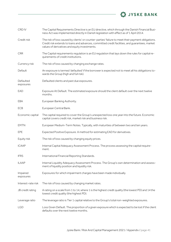

| CRD IV                 | The Capital Requirements Directive is an EU directive, which through the Danish Financial Busi-<br>ness Act was implemented directly in Danish legislation with effect as of 1 April 2014.                                                            |
|------------------------|-------------------------------------------------------------------------------------------------------------------------------------------------------------------------------------------------------------------------------------------------------|
| Credit risk            | The risk of loss caused by clients' or counter-parties' failure to meet their payment obligations.<br>Credit risk extends to loans and advances, committed credit facilities, and quarantees, market<br>values of derivatives and equity investments. |
| <b>CRR</b>             | The Capital requirements regulation is an EU regulation that lays down the rules for capital re-<br>quirements of credit institutions.                                                                                                                |
| Currency risk          | The risk of loss caused by changing exchange rates.                                                                                                                                                                                                   |
| Default                | An exposure is termed 'defaulted' if the borrower is expected not to meet all his obligations to-<br>wards the Group (high and full risk).                                                                                                            |
| Defaulted<br>exposures | Defaulted clients and past due exposures.                                                                                                                                                                                                             |
| EAD                    | Exposure At Default. The estimated exposure should the client default over the next twelve<br>months.                                                                                                                                                 |
| EBA                    | European Banking Authority.                                                                                                                                                                                                                           |
| <b>ECB</b>             | European Central Bank.                                                                                                                                                                                                                                |
| Economic capital       | The capital required to cover the Group's unexpected loss one year into the future. Economic<br>capital covers credit risk, market risk and business risk.                                                                                            |
| <b>EMTN</b>            | European Medium-Term Notes. Typically, with maturities of between two and ten years.                                                                                                                                                                  |
| EPE                    | Expected Positive Exposure. A method for estimating EAD for derivatives.                                                                                                                                                                              |
| Equity risk            | The risk of loss caused by changing equity prices.                                                                                                                                                                                                    |
| <b>ICAAP</b>           | Internal Capital Adequacy Assessment Process. The process assessing the capital require-<br>ment.                                                                                                                                                     |
| <b>IFRS</b>            | International Financial Reporting Standards.                                                                                                                                                                                                          |
| <b>ILAAP</b>           | Internal Liquidity Adequacy Assessment Process. The Group's own determination and assess-<br>ment of liquidity position and liquidity risk.                                                                                                           |
| Impaired<br>exposures  | Exposures for which impairment charges have been made individually.                                                                                                                                                                                   |
| Interest-rate risk     | The risk of loss caused by changing market rates.                                                                                                                                                                                                     |
| JB credit rating       | A rating on a scale from 1 to 14, where 1 is the highest credit quality (the lowest PD) and 14 the<br>lowest credit quality (the highest PD).                                                                                                         |
| Leverage ratio         | The leverage ratio is Tier 1 capital relative to the Group's total non-weighted exposures.                                                                                                                                                            |
| <b>LGD</b>             | Loss Given Default. The proportion of a given exposure which is expected to be lost if the client<br>defaults over the next twelve months.                                                                                                            |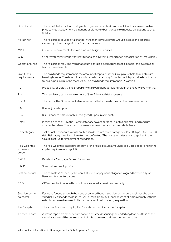| Liquidity risk                      | The risk of Jyske Bank not being able to generate or obtain sufficient liquidity at a reasonable<br>price to meet its payment obligations or ultimately being unable to meet its obligations as they<br>fall due.                                                               |
|-------------------------------------|---------------------------------------------------------------------------------------------------------------------------------------------------------------------------------------------------------------------------------------------------------------------------------|
| Market risk                         | The risk of loss caused by a change in the market value of the Group's assets and liabilities<br>caused by price changes in the financial markets.                                                                                                                              |
| <b>MREL</b>                         | Minimum requirements for own funds and eligible liabilities.                                                                                                                                                                                                                    |
| $O-SII$                             | Other systemically important institutions, the systemic importance classification of Jyske Bank.                                                                                                                                                                                |
| Operational risk                    | The risk of loss resulting from inadequate or failed internal processes, people, and systems or<br>from external events.                                                                                                                                                        |
| Own funds<br>requirements           | The own funds requirement is the amount of capital that the Group must hold to maintain its<br>banking licence. The determination is based on statutory formulas, which prescribe how the to-<br>tal risk exposure must be measured. The own funds requirement is 8% of this.   |
| <b>PD</b>                           | Probability of Default. The probability of a given client defaulting within the next twelve months.                                                                                                                                                                             |
| Pillar 1                            | The regulatory capital requirement of 8% of the total risk exposure.                                                                                                                                                                                                            |
| Pillar <sub>2</sub>                 | The part of the Group's capital requirements that exceeds the own funds requirements.                                                                                                                                                                                           |
| <b>RAC</b>                          | Risk-adjusted capital.                                                                                                                                                                                                                                                          |
| <b>REA</b>                          | Risk Exposure Amount or Risk-weighted Exposure Amount.                                                                                                                                                                                                                          |
| Retail                              | In relation to the CRD, the 'Retail' category covers personal clients and small- and medium-<br>sized enterprises. The latter must meet certain criteria to rank as retail clients.                                                                                             |
| Risk category                       | Jyske Bank's exposures at risk are broken down into three categories: low (1), high (2) and full (3)<br>risk. Risk categories 2 and 3 are termed defaulted. The risk categories are also applied in the<br>Group's set-up for impairment recognition.                           |
| Risk-weighted<br>exposure<br>amount | The risk-weighted exposure amount or the risk exposure amount is calculated according to the<br>capital requirements regulation.                                                                                                                                                |
| <b>RMBS</b>                         | Residential Mortgage Backed Securities.                                                                                                                                                                                                                                         |
| <b>SACP</b>                         | Stand-alone credit profile.                                                                                                                                                                                                                                                     |
| Settlement risk                     | The risk of loss caused by the non-fulfilment of payment obligations agreed between Jyske<br>Bank and its counterparties.                                                                                                                                                       |
| <b>SDO</b>                          | CRD-compliant covered bonds. Loans secured against real property.                                                                                                                                                                                                               |
| Supplementary<br>collateral         | For loans funded through the issue of covered bonds, supplementary collateral must be pro-<br>vided if LTV exceeds the loan-to-value limit as individual loans must at all times comply with the<br>established loan-to-value limits for the type of real property in question. |
| Tier 1 capital                      | The sum of Common Equity Tier 1 capital and additional Tier 1 capital.                                                                                                                                                                                                          |
| Trustee report                      | A status report from the securitisation's trustee describing the underlying loan portfolio of the<br>securitisation and the development of this to be used by investors, among others.                                                                                          |